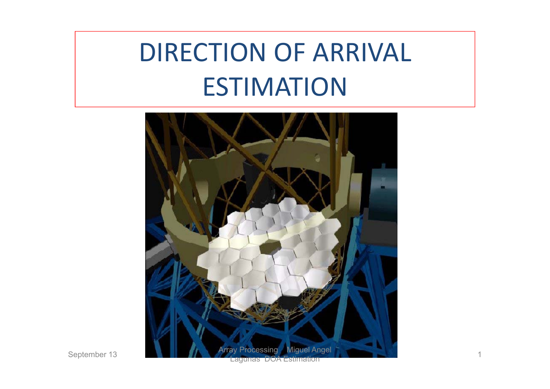# DIRECTION OF ARRIVAL ESTIMATION

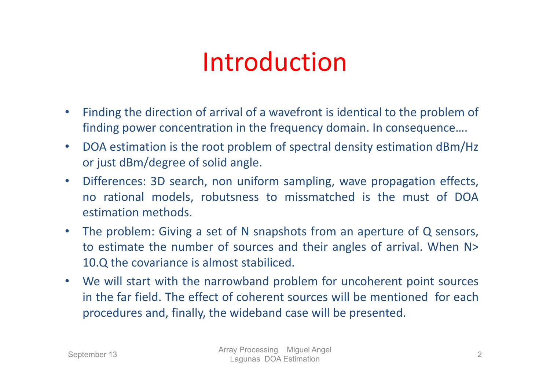# Introduction

- • Finding the direction of arrival of <sup>a</sup> wavefront is identical to the problem of finding power concentration in the frequency domain. In consequence….
- • DOA estimation is the root problem of spectral density estimation dBm/Hz or just dBm/degree of solid angle.
- $\bullet$  Differences: 3D search, non uniform sampling, wave propagation effects, no rational models, robutsness to missmatched is the must of DOA estimation methods.
- • The problem: Giving <sup>a</sup> set of N snapshots from an aperture of Q sensors, to estimate the number of sources and their angles of arrival. When N> 10.Q the covariance is almost stabiliced.
- We will start with the narrowband problem for uncoherent point sources in the far field. The effect of coherent sources will be mentioned for eachprocedures and, finally, the wideband case will be presented.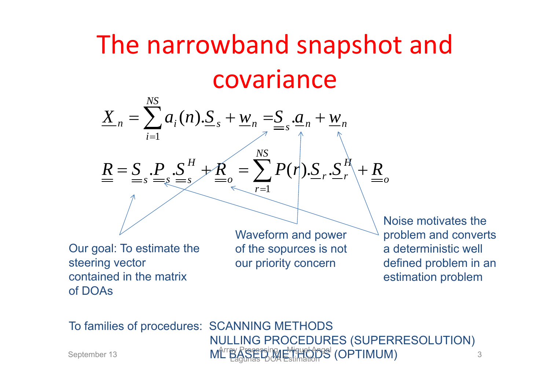# The narrowband snapshot and covariance



Our goal: To estimate the steering vector contained in the matrix of DOAs

Waveform and power of the sopurces is not our priority concern

Noise motivates the problem and converts a deterministic well defined problem in an estimation problem

To families of procedures: SCANNING METHODS NULLING PROCEDURES (SUPERRESOLUTION) September 13 ML BASEESING MIGUEL Angel (OPTIMUM) 3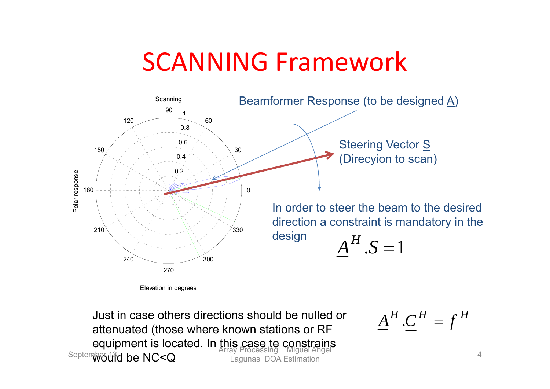### SCANNING Framework



Elevation in degrees

Just in case others directions should be nulled or attenuated (those where known stations or RF equipment is located. In this case te constrains  $\frac{S}{\text{Septem}}$  would be NC<Q  $\frac{A}{\text{Array}}$  Processing Miguel Angel Angel Lagunas DOA Estimation 4

$$
\underline{A}^H \cdot \underline{C}^H = \underline{f}^H
$$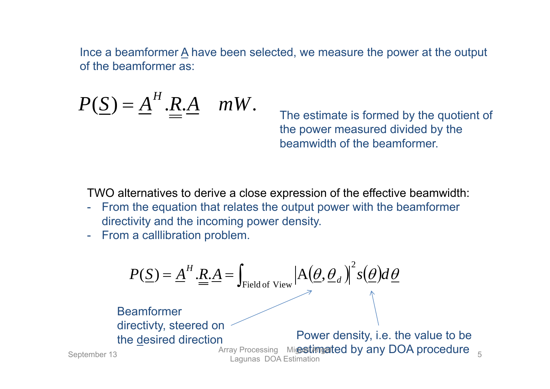Ince a beamformer A have been selected, we measure the power at the output of the beamformer as:

$$
P(\underline{S}) = \underline{A}^H \cdot \underline{R} \cdot \underline{A} \quad mW.
$$

The estimate is formed by the quotient of the power measured divided by the beamwidth of the beamformer.

TWO alternatives to derive a close expression of the effective beamwidth:

- - From the equation that relates the output power with the beamformer directivity and the incoming power density.
- From a calllibration problem.

$$
P(\underline{S}) = \underline{A}^{H} \cdot \underline{R} \cdot \underline{A} = \int_{\text{Field of View}} \left| A(\underline{\theta}, \underline{\theta}_{d}) \right|^{2} s(\underline{\theta}) d\underline{\theta}
$$
  
Beamformer  
directivity, steered on  
the desired direction  
Figure 13  
Super density, i.e. the value to be  
Argnocesing *Mi***estimation**  
Logunas DOA Estimation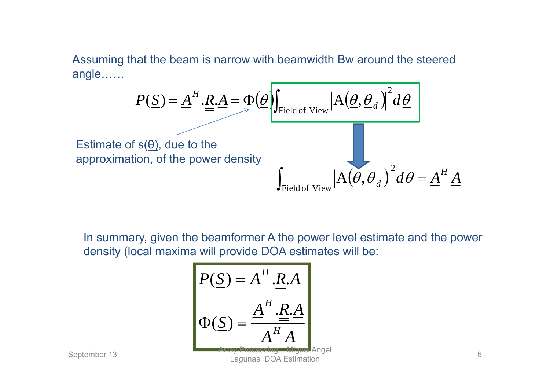Assuming that the beam is narrow with beamwidth Bw around the steered angle……



In summary, given the beamformer  $\underline{A}$  the power level estimate and the power density (local maxima will provide DOA estimates will be:

$$
P(\underline{S}) = \underline{A}^{H} \cdot \underline{R} \cdot \underline{A}
$$
\n
$$
\Phi(\underline{S}) = \frac{\underline{A}^{H} \cdot \underline{R} \cdot \underline{A}}{\underline{A}^{H} \cdot \underline{A}}
$$
\nSeptember 13

\nSupmas DOA Estimation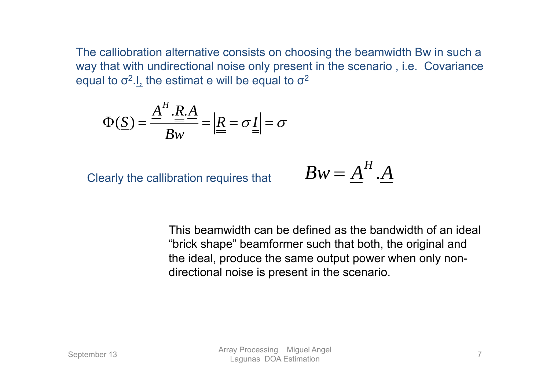The calliobration alternative consists on choosing the beamwidth Bw in such a way that with undirectional noise only present in the scenario , i.e. Covariance equal to σ $^2.$   $\underline{\mathsf{I}}_1$  the estimat e will be equal to σ $^2$ 

$$
\Phi(\underline{S}) = \frac{\underline{A}^H \cdot \underline{R} \cdot \underline{A}}{Bw} = |\underline{R} = \sigma \underline{I}| = \sigma
$$

Clearly the callibration requires that *Bw*

$$
Bw = \underline{A}^H \cdot \underline{A}
$$

This beamwidth can be defined as the bandwidth of an ideal "brick shape" beamformer such that both, the original and the ideal, produce the same output power when only nondirectional noise is present in the scenario.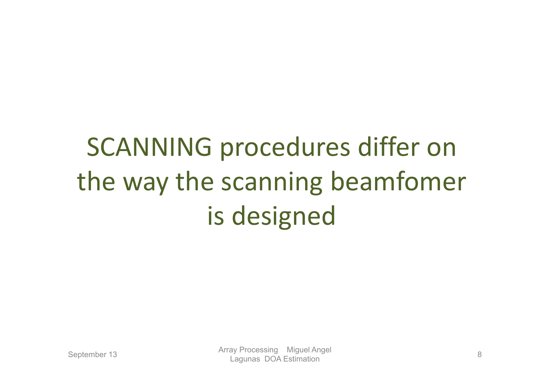# SCANNING procedures differ on the way the scanning beamfomer is designed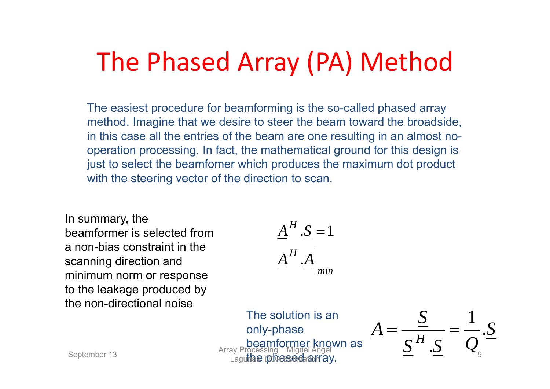# The Phased Array (PA) Method

The easiest procedure for beamforming is the so-called phased array method. Imagine that we desire to steer the beam toward the broadside, in this case all the entries of the beam are one resulting in an almost nooperation processing. In fact, the mathematical ground for this design is just to select the beamfomer which produces the maximum dot product with the steering vector of the direction to scan.

In summary, the beamformer is selected from a non-bias constraint in the scanning direction and minimum norm or response to the leakage produced by the non-directional noise

$$
\underline{A}^H \cdot \underline{S} = 1
$$

$$
\underline{A}^H \cdot \underline{A}\Big|_{min}
$$

The solution is an only-phase beamformer known as September 13 **Array Processing Miguel Angel Lagunas D**  $\frac{1}{2}$   $\frac{1}{2}$   $\frac{1}{9}$   $\frac{2}{9}$ 

$$
\underline{A} = \frac{\underline{S}}{\underline{S}^H \cdot \underline{S}} = \frac{1}{Q_{\text{s}}} \cdot \underline{S}
$$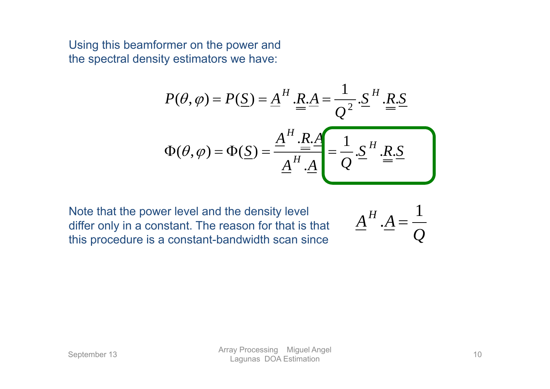Using this beamformer on the power and the spectral density estimators we have:

$$
P(\theta, \varphi) = P(\underline{S}) = \underline{A}^{H} \cdot \underline{R} \cdot \underline{A} = \frac{1}{Q^{2}} \cdot \underline{S}^{H} \cdot \underline{R} \cdot \underline{S}
$$

$$
\Phi(\theta, \varphi) = \Phi(\underline{S}) = \frac{\underline{A}^{H} \cdot \underline{R} \cdot \underline{A}}{\underline{A}^{H} \cdot \underline{A}} = \frac{1}{Q} \cdot \underline{S}^{H} \cdot \underline{R} \cdot \underline{S}
$$

Note that the power level and the density level differ only in a constant. The reason for that is that this procedure is a constant-bandwidth scan since

$$
\underline{A}^H \cdot \underline{A} = \frac{1}{Q}
$$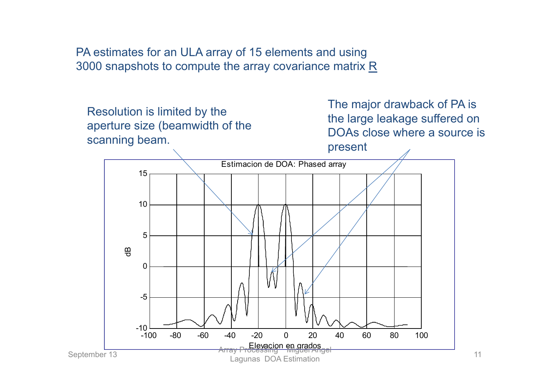PA estimates for an ULA array of 15 elements and using 3000 snapshots to compute the array covariance matrix  $R$ 

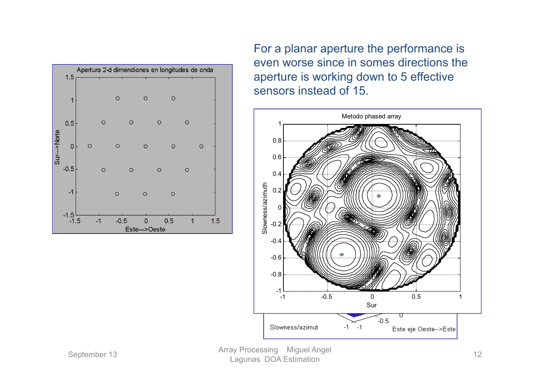

For a planar aperture the performance is even worse since in somes directions the aperture is working down to 5 effective sensors instead of 15.

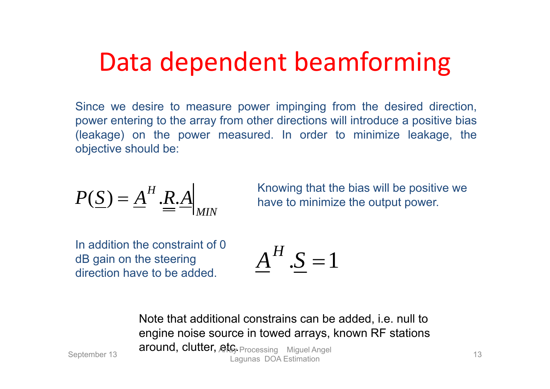## Data dependent beamforming

Since we desire to measure power impinging from the desired direction, power entering to the array from other directions will introduce <sup>a</sup> positive bias (leakage) on the power measured. In order to minimize leakage, the objective should be:

$$
P(\underline{S}) = \underline{A}^H \cdot \underline{R} \cdot \underline{A} \bigg|_{MIN}
$$

Knowing that the bias will be positive we have to minimize the output power.

In addition the constraint of 0 dB gain on the steering direction have to be added.

$$
\underline{A}^H.\underline{S} = 1
$$

Note that additional constrains can be added, i.e. null to engine noise source in towed arrays, known RF stations around, clutter, etc. Processing Miguel Angel<br>Lagunas DOA Estimation 13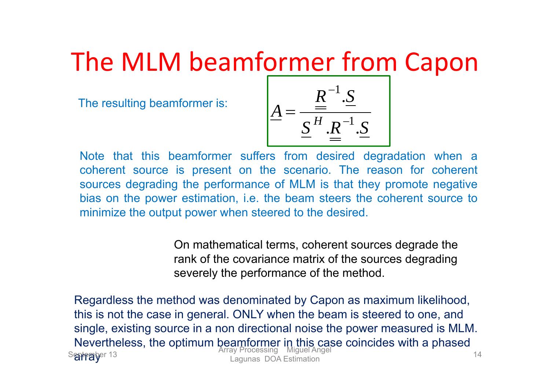## The MLM beamformer from Capon

The resulting beamformer is:

$$
A = \frac{R^{-1} \cdot S}{\underline{S}^{H} \cdot R^{-1} \cdot \underline{S}}
$$

Note that this beamformer suffers from desired degradation when <sup>a</sup> coherent source is present on the scenario. The reason for coherent sources degrading the performance of MLM is that they promote negative bias on the power estimation, i.e. the beam steers the coherent source to minimize the output power when steered to the desired.

> On mathematical terms, coherent sources degrade the rank of the covariance matrix of the sources degrading severely the performance of the method.

Regardless the method was denominated by Capon as maximum likelihood, this is not the case in general. ONLY when the beam is steered to one, and single, existing source in a non directional noise the power measured is MLM. Nevertheless, the optimum beamformer in this case coincides with a phased array Processing Miguel Angel<br>14<br>Lagunas DOA Estimation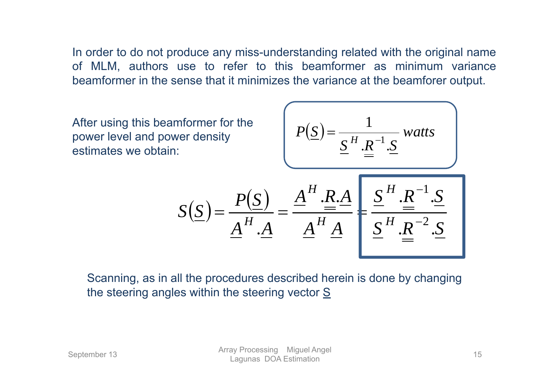In order to do not produce any miss-understanding related with the original name of MLM, authors use to refer to this beamformer as minimum variance beamformer in the sense that it minimizes the variance at the beamforer output.

After using this beamformer for power level and power density estimates we obtain:

informer for the

\n
$$
P(\underline{S}) = \frac{1}{\underline{S}^H \cdot \underline{R}^{-1} \cdot \underline{S}} \quad \text{watts}
$$
\n
$$
S(\underline{S}) = \frac{P(\underline{S})}{\underline{A}^H \cdot \underline{A}} = \frac{\underline{A}^H \cdot \underline{R} \cdot \underline{A}}{\underline{A}^H \cdot \underline{A}} = \frac{\underline{S}^H \cdot \underline{R}^{-1} \cdot \underline{S}}{\underline{S}^H \cdot \underline{R}^{-2} \cdot \underline{S}}
$$

Scanning, as in all the procedures described herein is done by changing the steering angles within the steering vector  $S$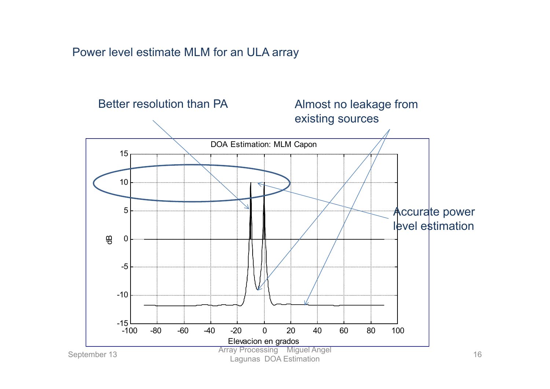Power level estimate MLM for an ULA array

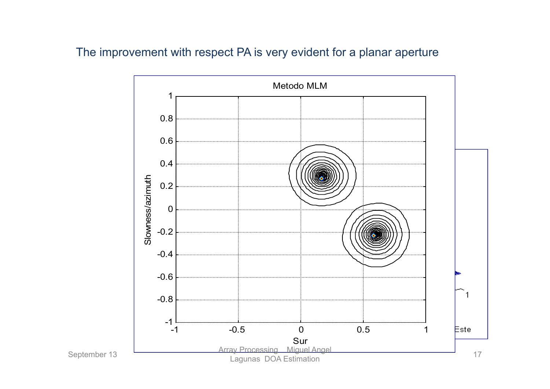#### The improvement with respect PA is very evident for a planar aperture

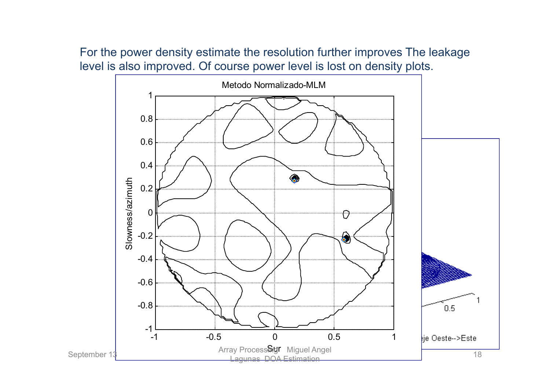For the power density estimate the resolution further improves The leakage level is also improved. Of course power level is lost on density plots.

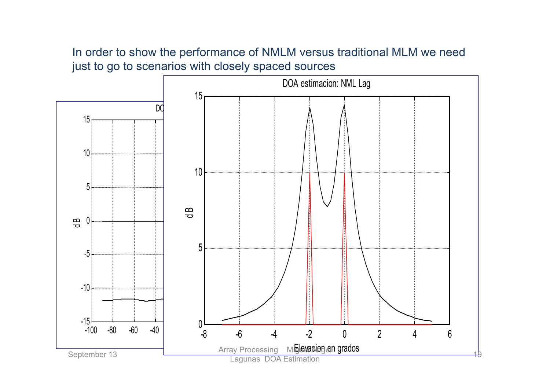#### In order to show the performance of NMLM versus traditional MLM we need just to go to scenarios with closely spaced sources

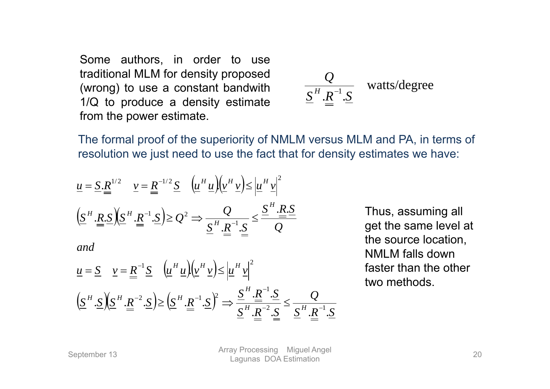Some authors, in order to use traditional MLM for density proposed (wrong) to use <sup>a</sup> constant bandwith 1/Q to produce <sup>a</sup> density estimate from the power estimate.

$$
\frac{Q}{\underline{S}^H \cdot \underline{R}^{-1} \cdot \underline{S}}
$$
 watts/degree

The formal proof of the superiority of NMLM versus MLM and PA, in terms of resolution we just need to use the fact that for density estimates we have:

$$
\underline{u} = \underline{S} \cdot \underline{R}^{1/2} \quad \underline{v} = \underline{R}^{-1/2} \underline{S} \quad \left( \underline{u}^H \underline{u} \right) \left( \underline{v}^H \underline{v} \right) \le \left| \underline{u}^H \underline{v} \right|^2
$$
\n
$$
\left( \underline{S}^H \cdot \underline{R} \cdot \underline{S} \right) \left( \underline{S}^H \cdot \underline{R}^{-1} \cdot \underline{S} \right) \ge Q^2 \implies \frac{Q}{\underline{S}^H \cdot \underline{R}^{-1} \cdot \underline{S}} \le \frac{\underline{S}^H \cdot \underline{R} \cdot \underline{S}}{Q}
$$
\nand\n
$$
u = S \quad v = R^{-1} S \quad \left( u^H \underline{u} \right) \left( v^H v \right) < \left| u^H v \right|^2
$$

 $\underline{u} = \underline{S}$  *v*  $\underline{v} = \underline{R}^{-1} \underline{S}$   $\underline{u}^H \underline{u}$  $\underline{u}$  $\underline{v}^H \underline{v}$  $\underline{v}$  $\underline{v}$  $\underline{u}^H \underline{v}$  $(\underline{S}^H \cdot \underline{S}) (\underline{S}^H \cdot \underline{R}^{-2} \cdot \underline{S}) \geq (\underline{S}^H \cdot \underline{R}^{-1} \cdot \underline{S})$ *S R S Q*  $S$   $\cdot$   $R$   $\cdot$   $S$  $\frac{S}{S}$ <sup>*H*</sup>  $\cdot$  $\frac{S}{S}$  $\left(\sum_{i=1}^{H} \cdot \frac{R}{i} \right) \ge \left(\sum_{i=1}^{H} \cdot \frac{R}{i} \right)^2 \Rightarrow \frac{\sum_{i=1}^{H} \cdot \frac{R}{i} \cdot S}{S} \le \frac{S}{S}$  $H \left( \int_{\mathbb{R}} \int_{\mathbb{R}} H \cdot \mathbf{p}^{-2} \right)$ ,  $\left( H \cdot \mathbf{p}^{-1} \right)$ . . . . . . .  $\frac{10}{2}$  ...  $\frac{11}{2}$  ...  $\frac{10}{2}$  ...  $\frac{10}{2}$  ...  $\frac{11}{2}$  ...  $\frac{10}{2}$  ...  $\frac{11}{2}$  ...  $\frac{11}{2}$  ... 2 a),  $(aH - a)^2$   $S^H . R^{-1}$  $^{-2}$   $\alpha$   $\alpha$   $\pi$   $\mathbf{n}^{-}$ Ξ  $\left\{S\right\}\geq\left\{S^{n}.R^{-1}.S\right\}\Rightarrow\frac{p-1}{N}\leq\frac{p-1}{N}\leq$ 

Thus, assuming all get the same level at the source location, NMLM falls down faster than the other two methods.

September 13 **Array Processing Miguel Angel September 13** 20<br>
Lagunas DOA Estimation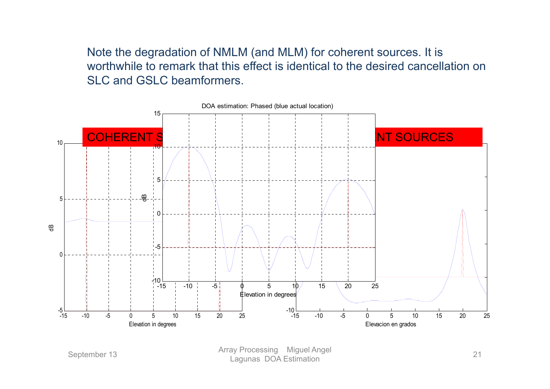Note the degradation of NMLM (and MLM) for coherent sources. It is worthwhile to remark that this effect is identical to the desired cancellation on SLC and GSLC beamformers.



September 13 **Array Processing Miguel Angel** September 13 **Array Processing Miguel Angel** 21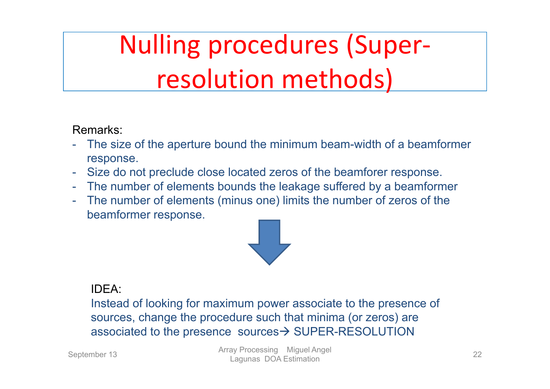Nulling procedures (Super‐ resolution methods)

Remarks:

- The size of the aperture bound the minimum beam-width of a beamformer response.
- -Size do not preclude close located zeros of the beamforer response.
- The number of elements bounds the leakage suffered by a beamformer
- The number of elements (minus one) limits the number of zeros of the beamformer response.



IDEA:

Instead of looking for maximum power associate to the presence of sources, change the procedure such that minima (or zeros) are associated to the presence sources  $\rightarrow$  SUPER-RESOLUTION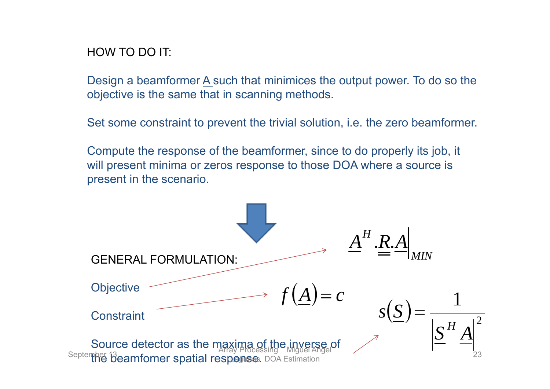HOW TO DO IT:

Design a beamformer A such that minimices the output power. To do so the objective is the same that in scanning methods.

Set some constraint to prevent the trivial solution, i.e. the zero beamformer.

Compute the response of the beamformer, since to do properly its job, it will present minima or zeros response to those DOA where a source is present in the scenario.

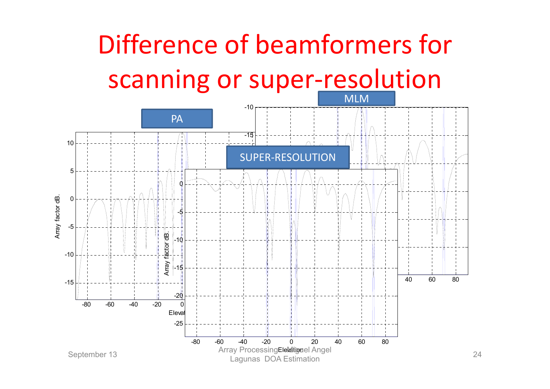# Difference of beamformers for scanning or super-resolution

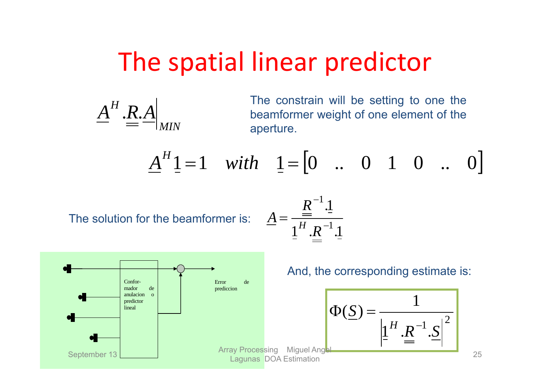### The spatial linear predictor

*MIN* $A^H$ 

The constrain will be setting to one the beamformer weight of one element of the aperture.

$$
\underline{A}^H \underline{1} = 1 \quad with \quad \underline{1} = [0 \quad ... \quad 0 \quad 1 \quad 0 \quad ... \quad 0]
$$

The solution for the beamformer is:

$$
\underline{A} = \frac{\underline{R}^{-1} \cdot \underline{1}}{\underline{1}^H \cdot \underline{R}^{-1} \cdot \underline{1}}
$$

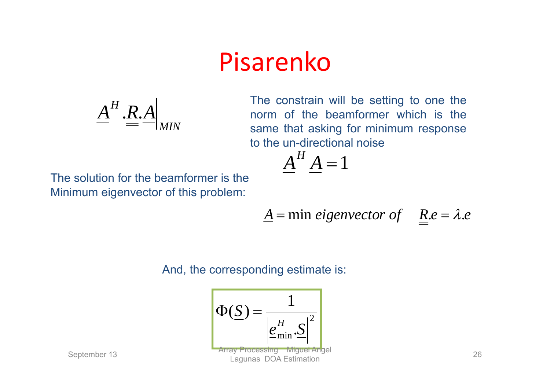## Pisarenko



The constrain will be setting to one the norm of the beamformer which is the same that asking for minimum response to the un-directional noise

$$
\underline{A}^H \underline{A} = 1
$$

The solution for the beamformer is the Minimum eigenvector of this problem:

$$
\underline{A} = \text{min eigenvector of } \underline{R}.\underline{e} = \lambda.\underline{e}
$$

And, the corresponding estimate is:

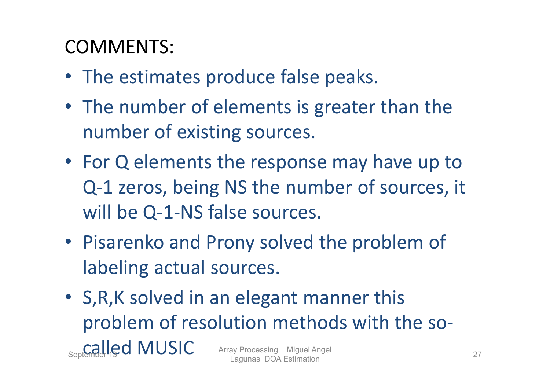### COMMENTS:

- The estimates produce false peaks.
- The number of elements is greater than the number of existing sources.
- For Q elements the response may have up to Q‐1 zeros, being NS the number of sources, it will be Q‐1‐NS false sources.
- Pisarenko and Prony solved the problem of labeling actual sources.
- S,R,K solved in an elegant manner this problem of resolution methods with the so-September 19 **cm** MUSIC Array Processing Miguel Angel 27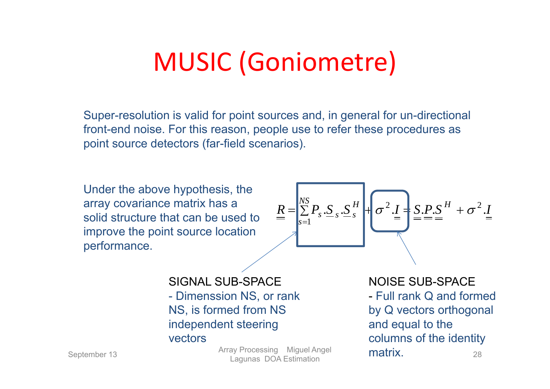# MUSIC (Goniometre)

Super-resolution is valid for point sources and, in general for un-directional front-end noise. For this reason, people use to refer these procedures as point source detectors (far-field scenarios).

Under the above hypothesis, the array covariance matrix has a solid structure that can be used to improve the point source location performance.

$$
\underline{R} = \sum_{s=1}^{NS} P_s \cdot \underline{S}_s \cdot \underline{S}_s^H + \sigma^2 \cdot \underline{I} = \sum_{s=1}^{N} P_s \cdot \underline{S}_s^H + \sigma^2 \cdot \underline{I}
$$

SIGNAL SUB-SPACE- Dimenssion NS, or rank NS, is formed from NS independent steering vectors

NOISE SUB-SPACE- Full rank Q and formed by Q vectors orthogonal and equal to the columns of the identity

September 13 Matricessing Miguel Angel **matrix.** 28<br>Lagunas DOA Estimation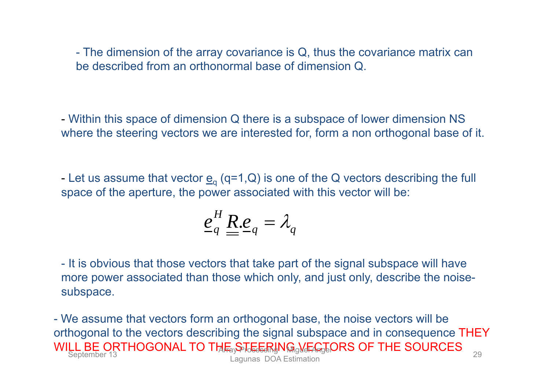- The dimension of the array covariance is Q, thus the covariance matrix can be described from an orthonormal base of dimension Q.

- Within this space of dimension Q there is a subspace of lower dimension NS where the steering vectors we are interested for, form a non orthogonal base of it.

- Let us assume that vector  $\underline{\mathbf{e}}_{\mathbf{q}}$  (q=1,Q) is one of the Q vectors describing the full space of the aperture, the power associated with this vector will be:

$$
\underline{e}_q^H \underline{R} \underline{e}_q = \lambda_q
$$

- It is obvious that those vectors that take part of the signal subspace will have more power associated than those which only, and just only, describe the noisesubspace.

- We assume that vectors form an orthogonal base, the noise vectors will be orthogonal to the vectors describing the signal subspace and in consequence THEY WILL BE ORTHOGONAL TO THE STEERING VECTORS OF THE SOURCES 29<br>Lagunas DOA Estimation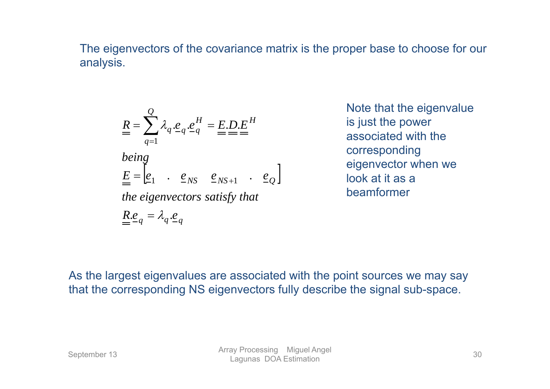The eigenvectors of the covariance matrix is the proper base to choose for our analysis.

$$
\underline{R} = \sum_{q=1}^{Q} \lambda_q \cdot \underline{e}_q \cdot \underline{e}_q^H = \underline{E} \cdot \underline{D} \cdot \underline{E}^H
$$
\n
$$
\begin{aligned}\n\underline{E} &= \left[ \underline{e}_1 \quad \cdot \quad \underline{e}_{NS} \quad \underline{e}_{NS+1} \quad \cdot \quad \underline{e}_Q \right] \\
\underline{E} &= \left[ \underline{e}_1 \quad \cdot \quad \underline{e}_{NS} \quad \underline{e}_{NS+1} \quad \cdot \quad \underline{e}_Q \right] \\
\underline{E} &= \underline{e}_q = \lambda_q \cdot \underline{e}_q\n\end{aligned}
$$

Note that the eigenvalue is just the power associated with the corresponding eigenvector when we look at it as a beamformer

As the largest eigenvalues are associated with the point sources we may say that the corresponding NS eigenvectors fully describe the signal sub-space.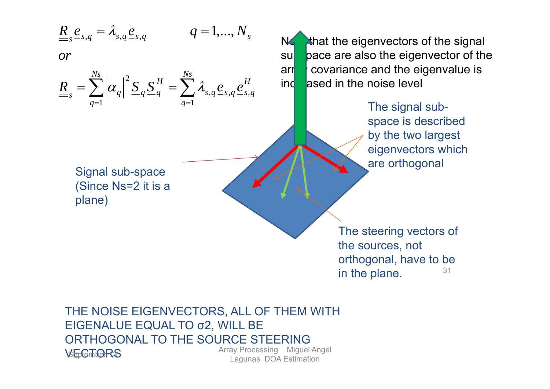

THE NOISE EIGENVECTORS, ALL OF THEM WITH EIGENALUE EQUAL TO σ2, WILL BE ORTHOGONAL TO THE SOURCE STEERING **VECTIORS** Array Processing Miguel Angel<br>Lagunas DOA Estimation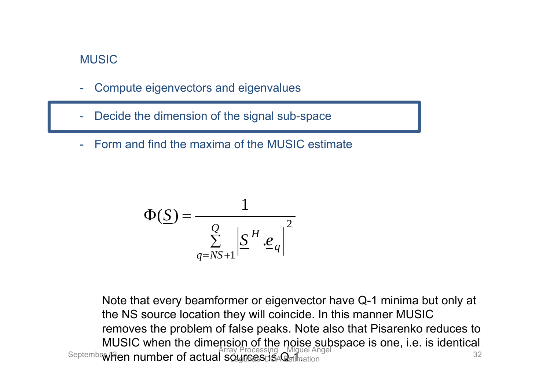#### **MUSIC**

- Compute eigenvectors and eigenvalues
- Decide the dimension of the signal sub-space
- Form and find the maxima of the MUSIC estimate

$$
\Phi(\underline{S}) = \frac{1}{\sum_{q=NS+1}^{Q} |\underline{S}^H \cdot e_q|^{2}}
$$

Note that every beamformer or eigenvector have Q-1 minima but only at the NS source location they will coincide. In this manner MUSIC removes the problem of false peaks. Note also that Pisarenko reduces to MUSIC when the dimension of the noise subspace is one, i.e. is identical when the state of actual sourcessing Miguel Angel Processing September 13 Array Processing Miguel Angel Lagunas DOA Estimation 32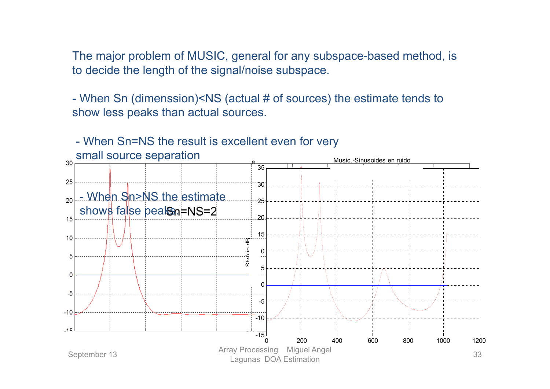The major problem of MUSIC, general for any subspace-based method, is to decide the length of the signal/noise subspace.

- When Sn (dimenssion)<NS (actual # of sources) the estimate tends to show less peaks than actual sources.

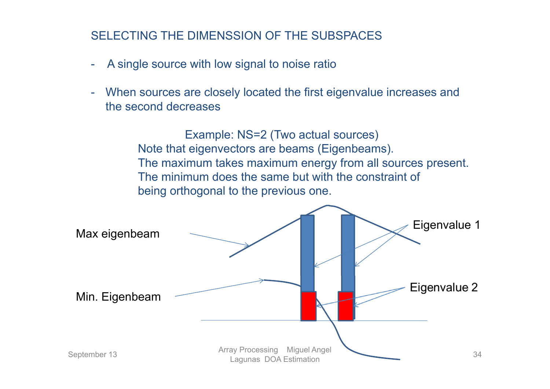### SELECTING THE DIMENSSION OF THE SUBSPACES

- -A single source with low signal to noise ratio
- - When sources are closely located the first eigenvalue increases and the second decreases

Example: NS=2 (Two actual sources) Note that eigenvectors are beams (Eigenbeams). The maximum takes maximum energy from all sources present. The minimum does the same but with the constraint of being orthogonal to the previous one.

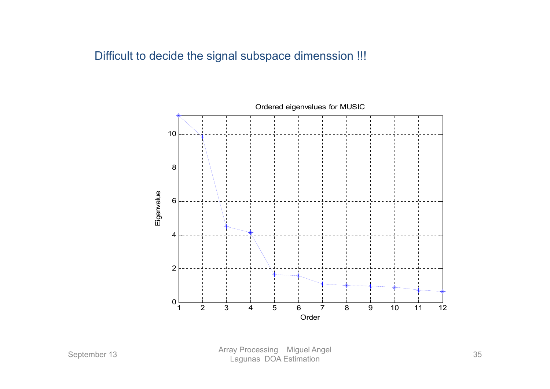#### Difficult to decide the signal subspace dimenssion !!!



September 13 **Array Processing Miguel Angel September 13** Array Processing Miguel Angel 35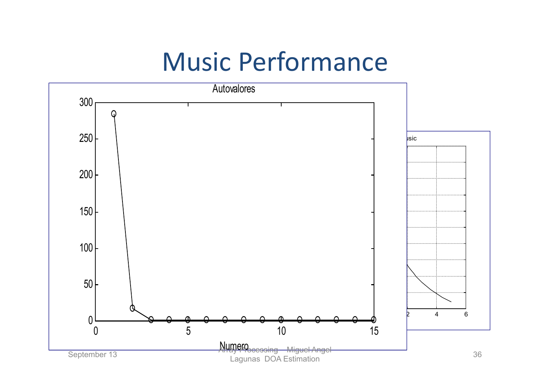### Music Performance

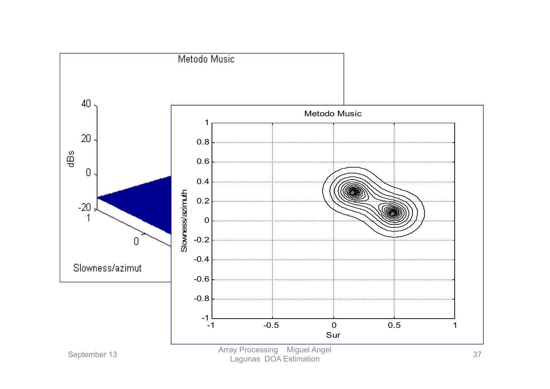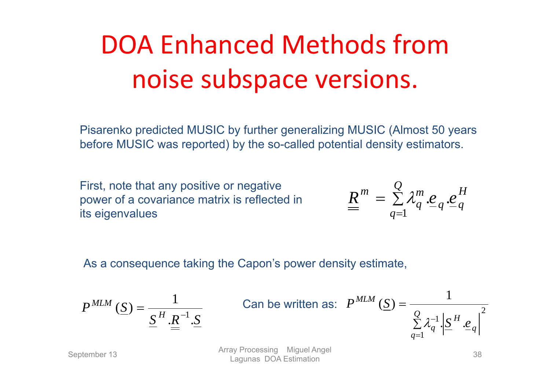# DOA Enhanced Methods fromnoise subspace versions.

Pisarenko predicted MUSIC by further generalizing MUSIC (Almost 50 years before MUSIC was reported) by the so-called potential density estimators.

First, note that any positive or negative power of a covariance matrix is reflected in its eigenvalues

$$
\underline{\underline{R}}^m = \sum_{q=1}^{\underline{Q}} \lambda_q^m \cdot \underline{e}_q \cdot \underline{e}_q^H
$$

As a consequence taking the Capon's power density estimate,

$$
P^{MLM}(\underline{S}) = \frac{1}{\underline{S}^H \cdot \underline{R}^{-1} \cdot \underline{S}}
$$
 Can be written as:  $P^{MLM}(\underline{S}) = \frac{1}{\sum_{q=1}^{Q} \lambda_q^{-1} \cdot |\underline{S}^H \cdot \underline{e}_q|^2}$ 

September 13 **Array Processing Miguel Angel** September 13 **Array Processing Miguel Angel** 38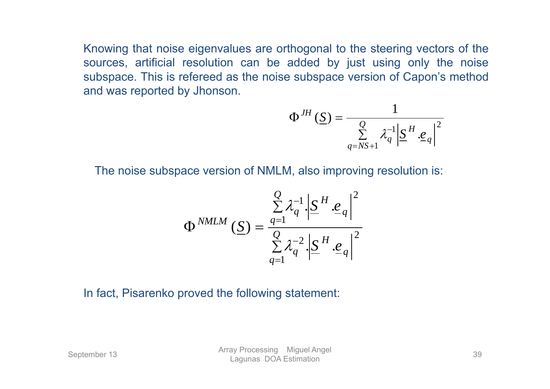Knowing that noise eigenvalues are orthogonal to the steering vectors of the sources, artificial resolution can be added by just using only the noise subspace. This is refereed as the noise subspace version of Capon's method and was reported by Jhonson.

$$
\Phi^{JH}(\underline{S}) = \frac{1}{\sum_{q=NS+1}^{\mathcal{Q}} \lambda_q^{-1} |\underline{S}^H \cdot \underline{e}_q|^2}
$$

The noise subspace version of NMLM, also improving resolution is:

$$
\Phi^{NMLM}(\underline{S}) = \frac{\sum\limits_{q=1}^{Q} \lambda_q^{-1} \left| \underline{S}^H \cdot \underline{e}_q \right|^2}{\sum\limits_{q=1}^{Q} \lambda_q^{-2} \left| \underline{S}^H \cdot \underline{e}_q \right|^2}
$$

In fact, Pisarenko proved the following statement: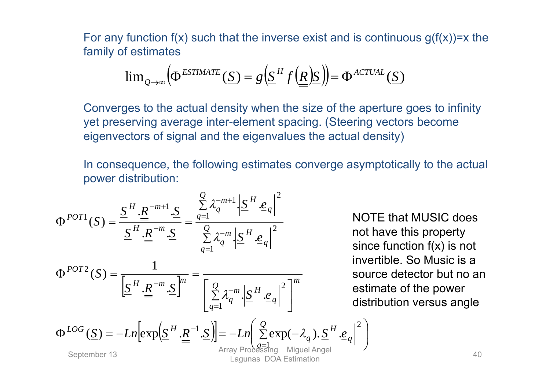For any function  $f(x)$  such that the inverse exist and is continuous  $g(f(x))=x$  the family of estimates

$$
\lim_{Q \to \infty} \left( \Phi^{ESTIMATE}(\underline{S}) = g \left( \underline{S}^H f \left( \underline{R} \right) \underline{S} \right) \right) = \Phi^{ACTUAL}(\underline{S})
$$

Converges to the actual density when the size of the aperture goes to infinity yet preserving average inter-element spacing. (Steering vectors become eigenvectors of signal and the eigenvalues the actual density)

In consequence, the following estimates converge asymptotically to the actual power distribution:

$$
\Phi^{POT1}(\underline{S}) = \frac{\underline{S}^H \cdot \underline{R}^{-m+1} \cdot \underline{S}}{\underline{S}^H \cdot \underline{R}^{-m} \cdot \underline{S}} = \frac{\sum_{q=1}^{Q} \lambda_q^{-m+1} \cdot \left| \underline{S}^H \cdot \underline{e}_q \right|^2}{\sum_{q=1}^{Q} \lambda_q^{-m} \cdot \left| \underline{S}^H \cdot \underline{e}_q \right|^2}
$$

$$
\Phi^{POT2}(\underline{S}) = \frac{1}{\left[\underline{S}^H \cdot \underline{R}^{-m} \cdot \underline{S}\right]^m} = \frac{1}{\left[\sum_{q=1}^{Q} \lambda_q^{-m} \cdot \left|\underline{S}^H \cdot \underline{e}_q\right|^2\right]^m}
$$

NOTE that MUSIC does not have this property since function f(x) is not invertible. So Music is a source detector but no an estimate of the power distribution versus angle

$$
\Phi^{LOG}(\underline{S}) = -Ln\left[\exp\left(\underline{S}^H \cdot \underline{R}^{-1} \cdot \underline{S}\right)\right] = -Ln\left(\sum_{q=1}^{Q} \exp(-\lambda_q) \cdot \left|\underline{S}^H \cdot \underline{e}_q\right|^2\right)
$$
  
\nSeptember 13  
\nLagunas DOA Estimation  
\n40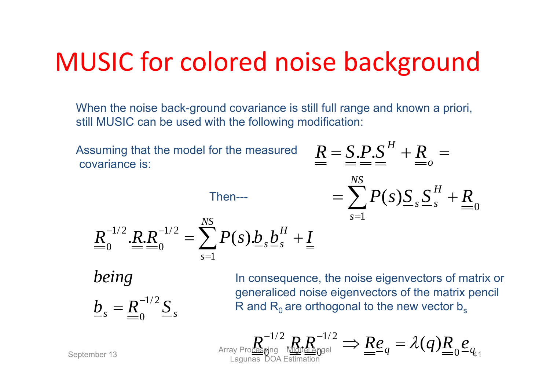#### MUSIC for colored noise background

When the noise back-ground covariance is still full range and known a priori, still MUSIC can be used with the following modification:

Assuming that the model for the measured covariance is:

$$
\underline{R} = \underline{S} \cdot \underline{P} \cdot \underline{S}^H + \underline{R}_o =
$$

$$
= \sum_{s=1}^{N} P(s) \underline{S}_s \underline{S}^H_s + \underline{R}_o
$$

Then---

$$
\underline{R}_{0}^{-1/2} \cdot \underline{R}_{0} \underline{R}_{0}^{-1/2} = \sum_{s=1}^{NS} P(s) \cdot \underline{b}_{s} \underline{b}_{s}^{H} + \underline{I}
$$

 $\underline{b}_s = \underline{R}_0^{-1/2} \underline{S}_s$ *being*  $= R^-$ 

0

In consequence, the noise eigenvectors of matrix or generaliced noise eigenvectors of the matrix pencil R and  $R_0$  are orthogonal to the new vector  $b_s$ 

 $s=1$ 

September 13  
Arg Procésging 
$$
R_{\text{diagul}}^{-1/2} R_{\text{dual}}
$$
 =  $R e_q = \lambda(q) R_0 e_{q_1}$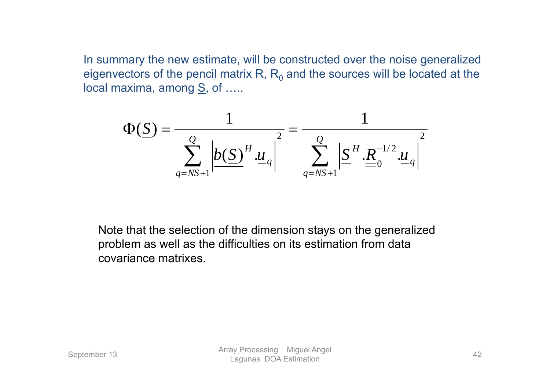In summary the new estimate, will be constructed over the noise generalized eigenvectors of the pencil matrix R,  ${\sf R}_{\sf o}$  and the sources will be located at the local maxima, among  $S$ , of .....

$$
\Phi(\underline{S}) = \frac{1}{\sum_{q=NS+1}^{Q} \left| b(\underline{S})^{H} \cdot \underline{u}_{q} \right|^{2}} = \frac{1}{\sum_{q=NS+1}^{Q} \left| \underline{S}^{H} \cdot \underline{R}_{0}^{-1/2} \cdot \underline{u}_{q} \right|^{2}}
$$

Note that the selection of the dimension stays on the generalized problem as well as the difficulties on its estimation from data covariance matrixes.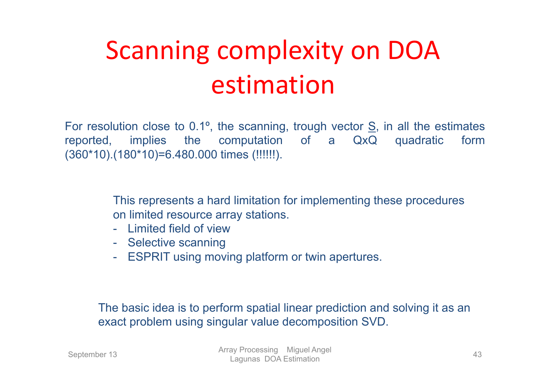# Scanning complexity on DOA estimation

For resolution close to 0.1 $^{\circ}$ , the scanning, trough vector  $S$ , in all the estimates reported, implies the computation of <sup>a</sup> QxQ quadratic form (360\*10).(180\*10)=6.480.000 times (!!!!!!).

> This represents a hard limitation for implementing these procedures on limited resource array stations.

- Limited field of view
- Selective scanning
- ESPRIT using moving platform or twin apertures.

The basic idea is to perform spatial linear prediction and solving it as an exact problem using singular value decomposition SVD.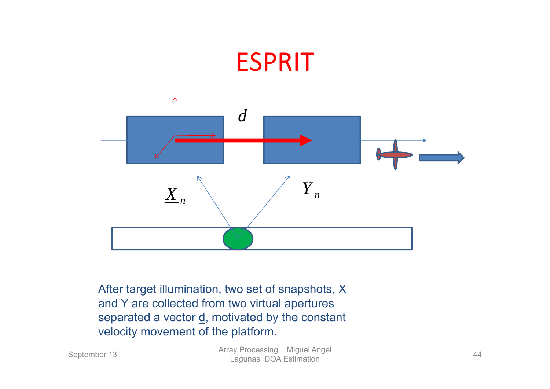

After target illumination, two set of snapshots, X and Y are collected from two virtual apertures separated a vector  $\underline{d}$ , motivated by the constant velocity movement of the platform.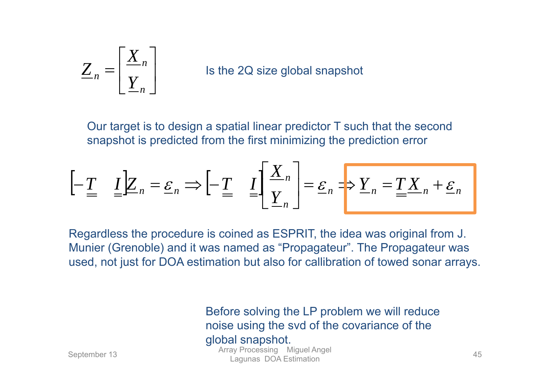$$
\underline{Z}_n = \begin{bmatrix} \underline{X}_n \\ \underline{Y}_n \end{bmatrix}
$$

#### *n Is the 2Q size global snapshot*

Our target is to design a spatial linear predictor T such that the second snapshot is predicted from the first minimizing the prediction error

$$
\left[-\underline{T} \quad \underline{I}\right]Z_n = \underline{\varepsilon}_n \Rightarrow \left[-\underline{T} \quad \underline{I}\right]\left[\frac{X_n}{Y_n}\right] = \underline{\varepsilon}_n \Rightarrow \underline{Y}_n = \underline{T}X_n + \underline{\varepsilon}_n
$$

Regardless the procedure is coined as ESPRIT, the idea was original from J. Munier (Grenoble) and it was named as "Propagateur". The Propagateur was used, not just for DOA estimation but also for callibration of towed sonar arrays.

> Before solving the LP problem we will reduce noise using the svd of the covariance of the global snapshot.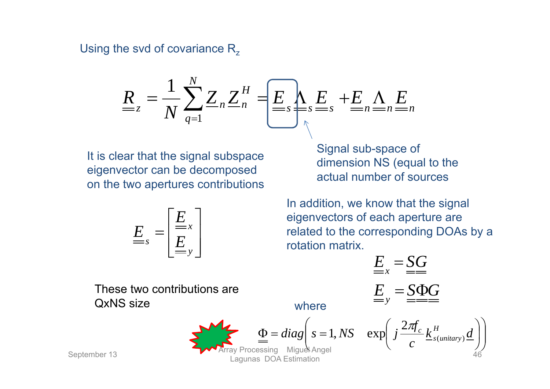Using the svd of covariance  $R_z$ 

$$
\underline{R}_{z} = \frac{1}{N} \sum_{q=1}^{N} \underline{Z}_{n} \underline{Z}_{n}^{H} = \underbrace{\underline{E}_{s}} \underline{A}_{s} \underline{E}_{s} + \underbrace{E}_{n} \underline{A}_{n} \underline{E}_{n}
$$

It is clear that the signal subspace eigenvector can be decomposed on the two apertures contributions

$$
\underline{E}_{s} = \begin{bmatrix} \underline{E}_{x} \\ \underline{E}_{y} \end{bmatrix}
$$

These two contributions are QxNS size

Signal sub-space of dimension NS (equal to the actual number of sources

In addition, we know that the signal eigenvectors of each aperture are related to the corresponding DOAs by a rotation matrix.

$$
\underline{E}_x = \underline{S}\underline{G}
$$

*E* $E = S\Phi G$ *y*  $\equiv$  $=S\Phi$ 



where

September 13  
\nSeptember 13  
\nSeptember 13  
\n
$$
\underline{\underline{\Phi}} = diag \begin{pmatrix} s = 1, NS & exp \begin{pmatrix} \frac{2\pi f_c}{c} & k \frac{H}{c} \\ 0 & \frac{1}{2} & \frac{1}{c} \end{pmatrix} \\ \text{Lengther 13} & \text{Lagunas DOA Estimation} \end{pmatrix}
$$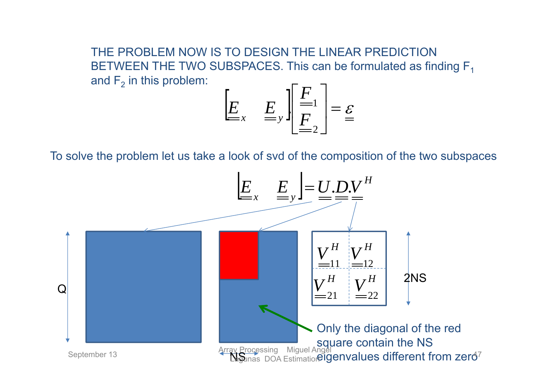THE PROBLEM NOW IS TO DESIGN THE LINEAR PREDICTION BETWEEN THE TWO SUBSPACES. This can be formulated as finding  $F_1$ and  $\mathsf F_2$  in this problem:

$$
\begin{bmatrix} E_x & E_y \end{bmatrix} \begin{bmatrix} E \\ \frac{F}{F} \\ \frac{F}{F} \end{bmatrix} = \underline{\mathcal{E}}
$$

To solve the problem let us take a look of svd of the composition of the two subspaces

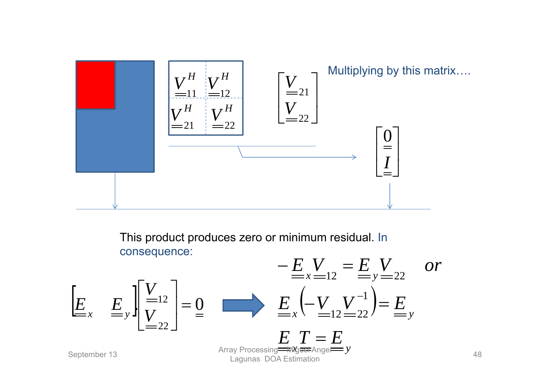

This product produces zero or minimum residual. In consequence:

$$
-\underline{E}_{x} \underline{V}_{12} = \underline{E}_{y} \underline{V}_{22}
$$
 or  
\n
$$
\underline{E}_{x} \underline{E}_{y} \underline{V}_{22}
$$
\n
$$
= \underline{0} \underline{E}_{x} \underline{(-\underline{V}_{12} \underline{V}^{-1})} = \underline{E}_{y}
$$
\n
$$
\underline{E}_{x} \underline{(-\underline{V}_{12} \underline{V}^{-1})} = \underline{E}_{y}
$$
\n
$$
\underline{E}_{x} \underline{T} = \underline{E}_{y}
$$
\n
$$
\underline{E}_{x} \underline{T} = \underline{E}_{y}
$$
\n
$$
\underline{E}_{x} \underline{T} = \underline{E}_{y}
$$
\n
$$
\underline{E}_{x} \underline{T} = \underline{E}_{y}
$$
\n
$$
\underline{E}_{x} \underline{T} = \underline{E}_{y}
$$
\n
$$
\underline{E}_{x} \underline{T} = \underline{E}_{y}
$$
\n
$$
\underline{E}_{x} \underline{T} = \underline{E}_{y}
$$
\n
$$
\underline{E}_{x} \underline{T} = \underline{E}_{y}
$$
\n
$$
\underline{E}_{x} \underline{T} = \underline{E}_{y}
$$
\n
$$
\underline{E}_{x} \underline{T} = \underline{E}_{y}
$$
\n
$$
\underline{E}_{x} \underline{T} = \underline{E}_{y}
$$
\n
$$
\underline{E}_{x} \underline{T} = \underline{E}_{y}
$$
\n
$$
\underline{E}_{x} \underline{T} = \underline{E}_{y}
$$
\n
$$
\underline{E}_{x} \underline{T} = \underline{E}_{y}
$$
\n
$$
\underline{E}_{x} \underline{T} = \underline{E}_{y}
$$
\n
$$
\underline{E}_{x} \underline{T} = \underline{E}_{y}
$$
\n
$$
\underline{E}_{x} \underline{T} = \underline{E}_{y}
$$
\n
$$
\underline{E}_{x} \underline{T} = \underline{E}_{y}
$$
\n
$$
\underline{E}_{x} \underline{T} = \underline{E}_{y}
$$
\n
$$
\underline{E}_{x} \underline{T} = \underline{E}_{y}
$$
\n
$$
\underline{E}_{x} \underline{T} = \underline{E}_{y}
$$
\n
$$
\underline{E}_{x} \underline{T} = \underline{E}_{y}
$$
\n $$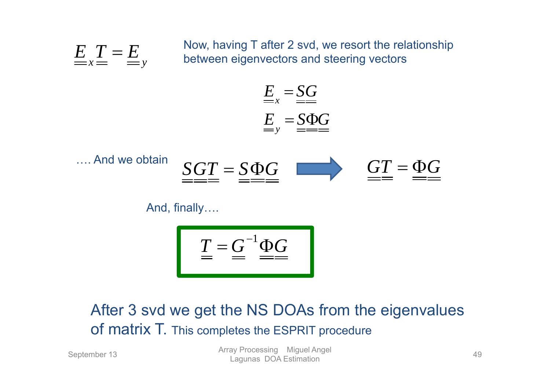$$
\underline{E}_{x} \underline{T} = \underline{E}_{y}
$$
 Now, having T after 2 svd, we resort the relationship  
between eigenvectors and steering vectors  

$$
\underline{E}_{x} = \underline{SG}
$$

$$
\underline{E}_{y} = \underline{SQG}
$$

$$
\underline{E}_{y} = \underline{SQG}
$$

$$
\underline{E}_{y} = \underline{SQG}
$$
and we obtain  
And, finally...
$$
\underline{T} = G^{-1} \Phi G
$$

#### After 3 svd we get the NS DOAs from the eigenvalues of matrix T. This completes the ESPRIT procedure

September 13 **Array Processing Miguel Angel Angel September 13** Assessment Angel Angel Angel Angel Angel Angel Angel Angel Angel Angel Angel Angel Angel Angel Angel Angel Angel Angel Angel Angel Angel Angel Angel Angel Ang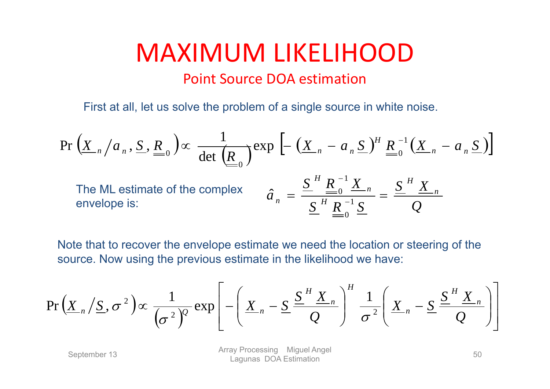#### MAXIMUM LIKELIHOOD

#### Point Source DOA estimation

First at all, let us solve the problem of a single source in white noise.

$$
\Pr\left(\underline{X}_n/a_n, \underline{S}, \underline{R}_0\right) \propto \frac{1}{\det\left(\underline{R}_0\right)} \exp\left[-\left(\underline{X}_n - a_n \underline{S}\right)^H \underline{R}_0^{-1} \left(\underline{X}_n - a_n \underline{S}\right)\right]
$$
\nThe ML estimate of the complex envelope is:

\n
$$
\hat{a}_n = \frac{\underline{S}^H \underline{R}_0^{-1} \underline{X}_n}{\underline{S}^H \underline{R}_0^{-1} \underline{S}} = \frac{\underline{S}^H \underline{X}_n}{Q}
$$

Note that to recover the envelope estimate we need the location or steering of the source. Now using the previous estimate in the likelihood we have:

$$
\Pr\left(\underline{X}_{n}\big/\underline{S},\sigma^{2}\right)\propto\frac{1}{\left(\sigma^{2}\right)^{\varrho}}\exp\left[-\left(\underline{X}_{n}-\underline{S}\frac{\underline{S}^{H}\underline{X}_{n}}{\varrho}\right)^{H}\frac{1}{\sigma^{2}}\left(\underline{X}_{n}-\underline{S}\frac{\underline{S}^{H}\underline{X}_{n}}{\varrho}\right)\right]
$$

September 13 **Array Processing Miguel Angel** September 13 **Array Processing Miguel Angel** 50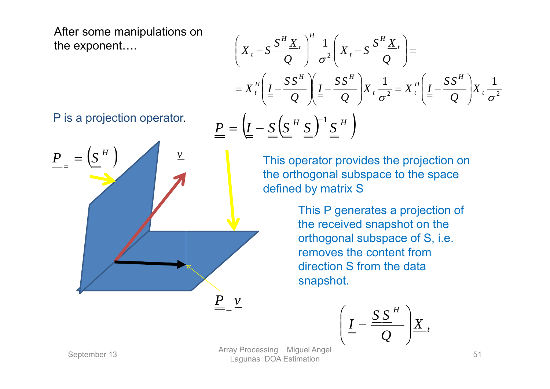After some manipulations on the exponent….

P is a projection operator.



*P*

$$
\left(\underline{X}_{t} - \underline{S} \frac{\underline{S}^{H} \underline{X}_{t}}{\underline{Q}}\right)^{H} \frac{1}{\sigma^{2}} \left(\underline{X}_{t} - \underline{S} \frac{\underline{S}^{H} \underline{X}_{t}}{\underline{Q}}\right) =
$$
\n
$$
= \underline{X}_{t}^{H} \left(\underline{I} - \frac{\underline{S} \underline{S}^{H}}{\underline{Q}}\right) \left(\underline{I} - \frac{\underline{S} \underline{S}^{H}}{\underline{Q}}\right) \underline{X}_{t} \frac{1}{\sigma^{2}} = \underline{X}_{t}^{H} \left(\underline{I} - \frac{\underline{S} \underline{S}^{H}}{\underline{Q}}\right) \underline{X}_{t} \frac{1}{\sigma^{2}}
$$
\n
$$
= \left(\underline{I} - \underline{S} \left(\underline{S}^{H} \underline{S}\right)^{-1} \underline{S}^{H}\right)
$$

This operator provides the projection on the orthogonal subspace to the space defined by matrix S

> This P generates a projection of the received snapshot on the orthogonal subspace of S, i.e. removes the content from direction S from the data snapshot.

$$
\left(\underline{I} - \frac{\underline{S} \underline{S}^H}{Q}\right) \underline{X}_t
$$

September 13 **Array Processing Miguel Angel** September 13 **Array Processing Miguel Angel** September 13 **51**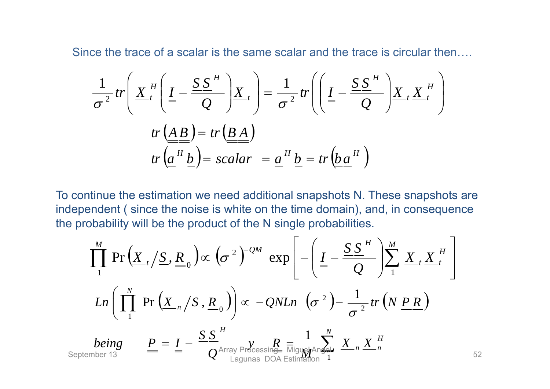Since the trace of a scalar is the same scalar and the trace is circular then….

$$
\frac{1}{\sigma^2}tr\left(\frac{X^H}{\sigma^2}\left(\frac{I}{\sigma}-\frac{\sum S^H}{Q}\right)X_t\right) = \frac{1}{\sigma^2}tr\left(\frac{I}{\sigma}-\frac{\sum S^H}{Q}\right)X_tX_t^H\right)
$$
\n
$$
tr\left(\frac{AB}{\sigma}\right) = tr\left(\frac{BA}{\sigma}\right)
$$
\n
$$
tr\left(\frac{a^Hb}{\sigma}\right) = scalar = \frac{a^Hb}{\sigma^2} = tr\left(\frac{ba^H}{\sigma}\right)
$$

To continue the estimation we need additional snapshots N. These snapshots are independent ( since the noise is white on the time domain), and, in consequence the probability will be the product of the N single probabilities.

$$
\prod_{1}^{M} \Pr\left(\underline{X}_{t} / \underline{S}, \underline{R}_{0}\right) \propto \left(\sigma^{2}\right)^{-QM} \exp\left[-\left(\underline{I} - \frac{\underline{S} \underline{S}^{H}}{Q}\right) \sum_{1}^{M} \underline{X}_{t} \underline{X}_{t}^{H}\right]
$$
\n
$$
Ln\left(\prod_{1}^{N} \Pr\left(\underline{X}_{n} / \underline{S}, \underline{R}_{0}\right)\right) \propto -QNLn \quad \left(\sigma^{2}\right) - \frac{1}{\sigma^{2}} tr\left(N \underline{PR}\right)
$$
\n
$$
\begin{array}{ll}\n\text{being} & \underline{P} = \underline{I} - \frac{\underline{S} \underline{S}^{H}}{Q^{Array\text{ Processing}} \frac{R}{Migupel} \sum_{1}^{N} \underline{X}_{n} \underline{X}_{n}^{H}} \frac{1}{M_{1}} \underline{X}_{n}^{N} \\
\text{September 13} & \stackrel{\text{B}}{=} \frac{I}{Q^{Array\text{ Processing}} \frac{R}{Migupel} \sum_{1}^{N} \underline{X}_{n}^{M} \underline{X}_{n}^{H}} \frac{1}{M_{2}} \end{array}
$$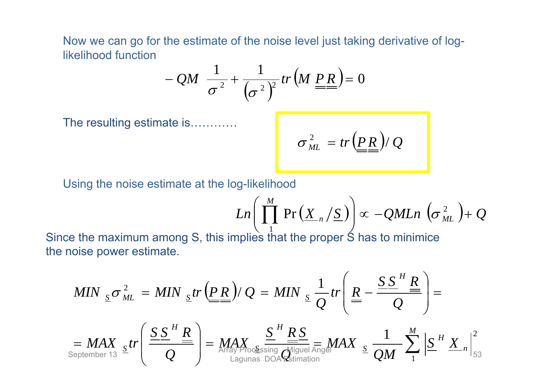Now we can go for the estimate of the noise level just taking derivative of loglikelihood function

$$
-QM \frac{1}{\sigma^2} + \frac{1}{(\sigma^2)^2} tr(M \underline{P} \underline{R}) = 0
$$

The resulting estimate is…………

$$
\sigma_{ML}^2 = tr(\underline{P}R)/Q
$$

Using the noise estimate at the log-likelihood

$$
Ln\left(\prod_{1}^{M} \Pr\left(\frac{X}{n}/\underline{S}\right)\right) \propto -QMLn \left(\sigma_{ML}^{2}\right)+Q
$$

 Since the maximum among S, this implies that the proper S has to minimice the noise power estimate.

$$
MIN_{S} \sigma_{ML}^{2} = MIN_{S} tr (P_{R}) / Q = MIN_{S} \frac{1}{Q} tr (R - \frac{S S^{H} R}{Q}) =
$$

$$
\underset{\text{September 13}}{= MAX} \underset{\underline{s}}{\underbrace{sf}tr\left(\frac{S \underline{S}^H \underline{R}}{Q}\right)} = \underset{\text{Lagunas DOA}}{MAX} \underset{\text{DOA}}{\underbrace{\frac{S^H \underline{R} \underline{S}}{S}}}_{\text{stimation}} = \underset{\text{MAMation}}{MAX} \underset{\underline{s}}{\underbrace{\frac{1}{S} \frac{M}{Q}} \underset{1}{\sum_{i=1}^{M}} \left|\frac{S^H \underline{X}}{S^H \underline{X}}\right|^2_{\text{53}}}
$$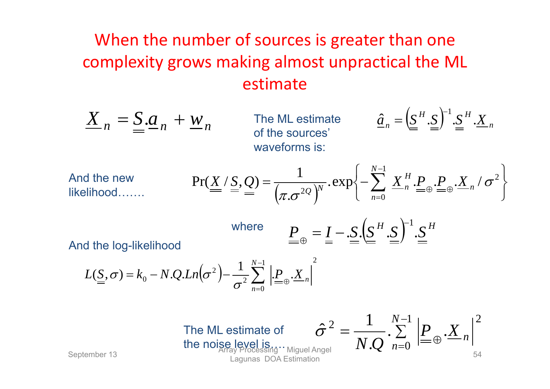#### When the number of sources is greater than one complexity grows making almost unpractical the ML estimate

$$
\underline{X}_{n} = \underline{S}.\underline{a}_{n} + \underline{w}_{n}
$$
\nThe ML estimate  
\nof the sources'  
\nwaveforms is:  
\nAnd the new  
\nlikelihood........  
\n
$$
\Pr(\underline{X} \mid \underline{S}, \underline{Q}) = \frac{1}{(\pi . \sigma^{2Q})^{N}}.\exp\left\{-\sum_{n=0}^{N-1} \frac{X^{H} \cdot \underline{P}_{\oplus} \cdot \underline{P}_{\oplus} \cdot \underline{X}_{n} / \sigma^{2}\right\}
$$
\nwhere  
\n
$$
\underline{P}_{\oplus} = \underline{I} - \underline{S}.\underline{S} \cdot \underline{S}^{H}.\underline{S}^{-1} \cdot \underline{S}^{H}
$$
\n
$$
L(\underline{S}, \sigma) = k_{0} - N.\underline{Q}.Ln(\sigma^{2}) - \frac{1}{\sigma^{2}} \sum_{n=0}^{N-1} |\underline{P}_{\oplus} \cdot \underline{X}_{n}|^{2}
$$
\nThe ML estimate of  
\nthe noise, level is,  
\n
$$
\hat{\sigma}^{2} = \frac{1}{N \cdot \underline{Q}} \cdot \sum_{n=0}^{N-1} |\underline{P}_{\oplus} \cdot \underline{X}_{n}|^{2}
$$
\n
$$
\sum_{\text{Lagunas DOA Estimation}} \frac{N-1}{N \cdot \underline{Q}} |\underline{P}_{\oplus} \cdot \underline{X}_{n}|^{2}
$$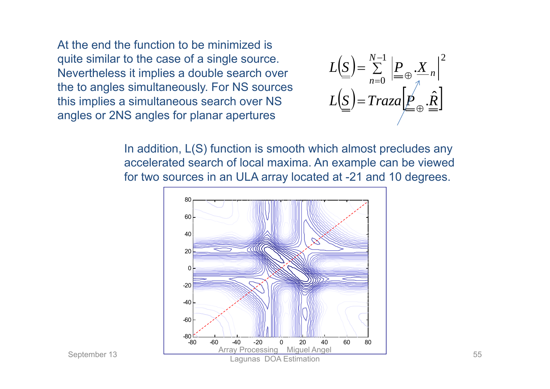At the end the function to be minimized is quite similar to the case of a single source. Nevertheless it implies a double search over the to angles simultaneously. For NS sources this implies a simultaneous search over NS angles or 2NS angles for planar apertures

 $\bigg($  $\bigg)$  $L(\underline{S}) = Traza[\underline{P}_{\oplus} \cdot \hat{R}]$  $L(S) = \sum_{i=1}^{n} P_i X_i$ *N n n*  $\hat{R}$  $\stackrel{1}{\mid}P$  . 0 2  $\oplus$ Ξ  $=$  $\oplus$ Ξ  $=$   $\Sigma$ 

In addition, L(S) function is smooth which almost precludes any accelerated search of local maxima. An example can be viewed for two sources in an ULA array located at -21 and 10 degrees.

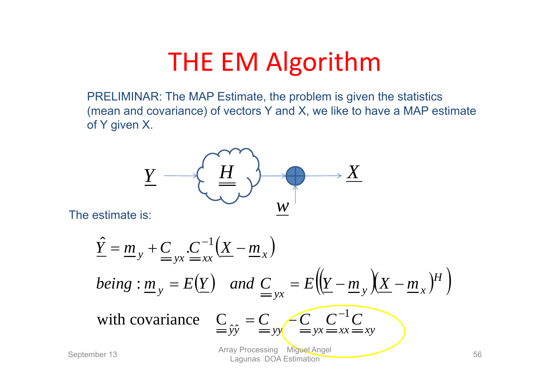### THE EM Algorithm

PRELIMINAR: The MAP Estimate, the problem is given the statistics (mean and covariance) of vectors Y and X, we like to have a MAP estimate of Y given X.



The estimate is:

$$
\hat{Y} = m_y + C_{yx} C^{-1} (X - m_x)
$$
\n
$$
being : m_y = E(Y) \quad and \quad C_{yx} = E((Y - m_y)(X - m_x)^H)
$$
\nwith covariance\n
$$
C_{xy} = C_{yy} C^{-1} C_{yx} C^{-1} C_{xy}
$$
\n
$$
= y_y C^{-1} C_{yx} C^{-1} C_{xy}
$$
\n
$$
= y_x S_{xy}
$$
\n
$$
Array Processing
$$
\n
$$
Miguel Angel
$$
\n
$$
Array Processing
$$
\n
$$
BQA Estimation
$$
\n
$$
BQA Estimation
$$
\n
$$
56
$$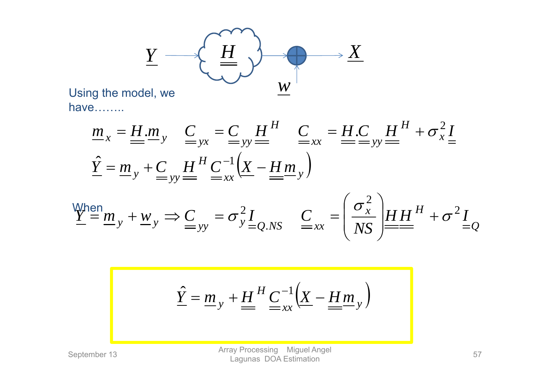

Using the model, we have……..

> $\hat{Y} = m_y + C_{xy} H^H C^{-1} (X - H m_y)$ *x H*  $xx = yy$ *H*  $y^x$  *y y y yy yy*  $m_{\nu} = H.m_{\nu}$   $C = C$   $H^{\prime\prime}$   $C = H.C$   $H^{\prime\prime} + \sigma^2_{\nu}I$  $-1$ 2 ˆ $\mathcal{M}_{\alpha}$  C = C H C = H C H +  $\sigma$

When 
$$
\underline{Y} = \underline{m}_y + \underline{w}_y \implies \underline{C}_{yy} = \sigma_y^2 \underline{I}_{Q.NS} \quad \underline{C}_{xx} = \left(\frac{\sigma_x^2}{NS}\right) \underline{H} \underline{H}^H + \sigma^2 \underline{I}_{Q}
$$

$$
\underline{\hat{Y}} = \underline{m}_y + \underline{H}^H \underline{C}^{-1} \Big( \underline{X} - \underline{H} \underline{m}_y \Big)
$$

September 13 **Array Processing Miguel Angel** September 13 **Array Processing Miguel Angel** 57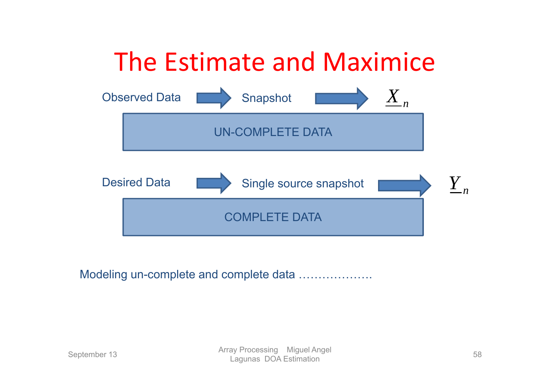

Modeling un-complete and complete data ……………….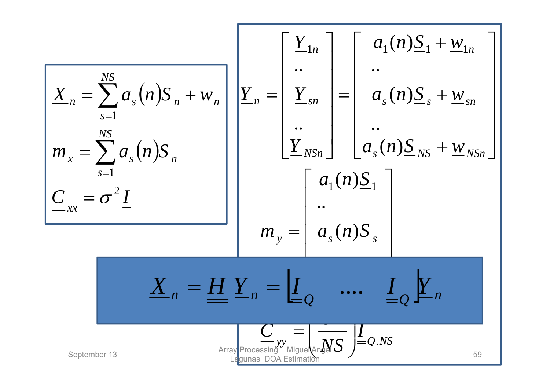$$
\mathbf{X}_{n} = \sum_{s=1}^{NS} a_{s}(n) \underline{S}_{n} + \underline{w}_{n}
$$
\n
$$
\mathbf{M}_{x} = \sum_{s=1}^{NS} a_{s}(n) \underline{S}_{n}
$$
\n
$$
\mathbf{M}_{x} = \sigma^{2} \underline{I}
$$
\n
$$
\mathbf{M}_{y} = \begin{bmatrix} \underline{Y}_{1n} \\ \underline{Y}_{2n} \\ \vdots \\ \underline{Y}_{Nsn} \end{bmatrix} = \begin{bmatrix} a_{1}(n) \underline{S}_{1} + \underline{w}_{1n} \\ \underline{X}_{2n} \\ \vdots \\ \underline{X}_{Nsn} \end{bmatrix}
$$
\n
$$
\mathbf{M}_{y} = \begin{bmatrix} a_{1}(n) \underline{S}_{1} \\ \vdots \\ a_{s}(n) \underline{S}_{Ns} + \underline{w}_{Nsn} \end{bmatrix}
$$
\n
$$
\mathbf{M}_{y} = \begin{bmatrix} a_{1}(n) \underline{S}_{1} \\ \vdots \\ a_{s}(n) \underline{S}_{s} \end{bmatrix}
$$
\n
$$
\mathbf{M}_{y} = \begin{bmatrix} a_{1}(n) \underline{S}_{1} \\ \vdots \\ a_{s}(n) \underline{S}_{s} \end{bmatrix}
$$
\n
$$
\mathbf{M}_{y} = \begin{bmatrix} \underline{S}_{1} \\ \vdots \\ \underline{S}_{N} \end{bmatrix}
$$
\n
$$
\mathbf{M}_{y} = \begin{bmatrix} \underline{S}_{1} \\ \vdots \\ \underline{S}_{N} \end{bmatrix}
$$
\n
$$
\mathbf{M}_{y} = \begin{bmatrix} \underline{S}_{1} \\ \vdots \\ \underline{S}_{N} \end{bmatrix}
$$
\n
$$
\mathbf{M}_{y} = \begin{bmatrix} \underline{S}_{1} \\ \vdots \\ \underline{S}_{N} \end{bmatrix}
$$
\n
$$
\mathbf{M}_{y} = \begin{bmatrix} \underline{S}_{1} \\ \vdots \\ \underline{S}_{N} \end{bmatrix}
$$
\n
$$
\mathbf{M}_{y} = \begin{bmatrix} \underline{S}_{1} \\ \vdots \\ \underline{S}_{N} \end{bmatrix}
$$
\n
$$
\mathbf{M}_{y} = \begin{bmatrix} \underline{S}_{1} \\ \vdots \\ \underline{S}_{N} \end{bmatrix}
$$
\n
$$
\mathbf
$$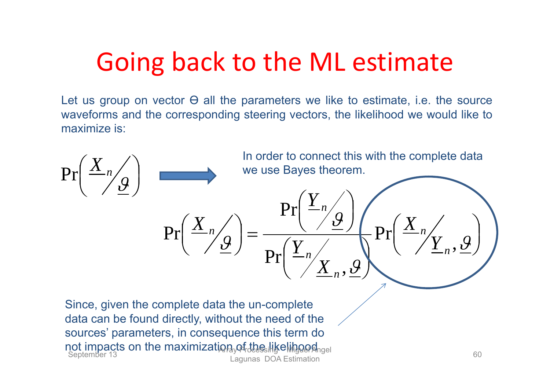#### Going back to the ML estimate

Let us group on vector  $\Theta$  all the parameters we like to estimate, i.e. the source waveforms and the corresponding steering vectors, the likelihood we would like to maximize is:

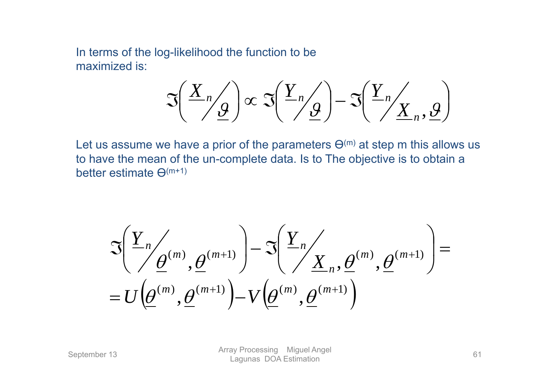In terms of the log-likelihood the function to be maximized is:

$$
\mathfrak{I}\left(\frac{X_n}{2}\right) \propto \mathfrak{I}\left(\frac{Y_n}{2}\right) - \mathfrak{I}\left(\frac{Y_n}{2}\right)
$$

Let us assume we have a prior of the parameters  $\Theta^{(m)}$  at step m this allows us to have the mean of the un-complete data. Is to The objective is to obtain a better estimate  $\Theta^{\text{(m+1)}}$ 

$$
\mathfrak{I}\left(\frac{Y_n}{\rho^{(m)}, \underline{\theta}^{(m+1)}}\right) - \mathfrak{I}\left(\frac{Y_n}{\rho^{(m)}, \underline{\theta}^{(m)}, \underline{\theta}^{(m+1)}}\right) = \nu \left(\underline{\theta}^{(m)}, \underline{\theta}^{(m)}, \underline{\theta}^{(m+1)}\right)
$$

September 13 **Array Processing Miguel Angel** September 13 **Array Processing Miguel Angel** 61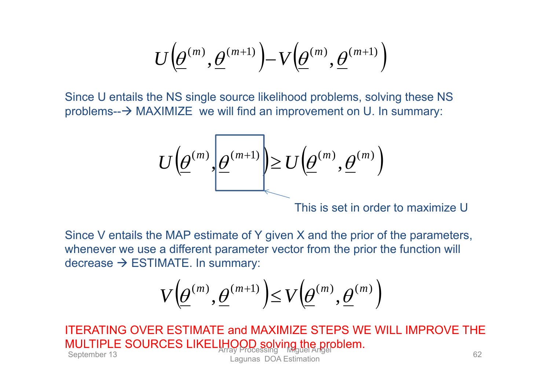$$
U\Big(\!\underline{\theta}^{(m)}, \underline{\theta}^{(m+1)}\Big)\!\!-\!V\Big(\!\underline{\theta}^{(m)}, \underline{\theta}^{(m+1)}\Big)
$$

Since U entails the NS single source likelihood problems, solving these NS  $problems--$  MAXIMIZE we will find an improvement on U. In summary:

$$
U\left(\underline{\theta}^{(m)}, \underline{\theta}^{(m+1)}\right) \geq U\left(\underline{\theta}^{(m)}, \underline{\theta}^{(m)}\right)
$$

This is set in order to maximize U

Since V entails the MAP estimate of Y given X and the prior of the parameters, whenever we use a different parameter vector from the prior the function will decrease  $\rightarrow$  ESTIMATE. In summary:

$$
V\left(\underline{\theta}^{(m)}, \underline{\theta}^{(m+1)}\right) \leq V\left(\underline{\theta}^{(m)}, \underline{\theta}^{(m)}\right)
$$

ITERATING OVER ESTIMATE and MAXIMIZE STEPS WE WILL IMPROVE THE MULTIPLE SOURCES LIKELIHOOD solving the problem. September 13 **Array Processing Miguel Angel Discussion Concerners** 62<br>September 13 **Array Processing Miguel Angel** Book Estimation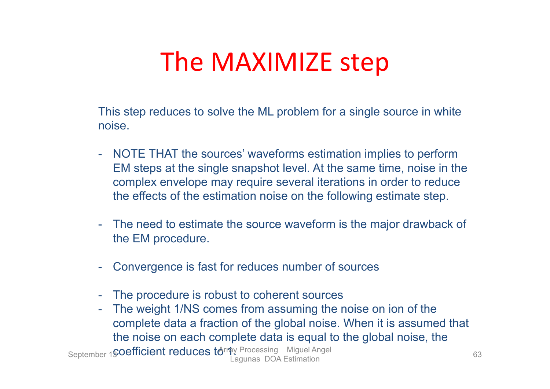## The MAXIMIZE step

This step reduces to solve the ML problem for a single source in white noise.

- NOTE THAT the sources' waveforms estimation implies to perform EM steps at the single snapshot level. At the same time, noise in the complex envelope may require several iterations in order to reduce the effects of the estimation noise on the following estimate step.
- - The need to estimate the source waveform is the major drawback of the EM procedure.
- -Convergence is fast for reduces number of sources
- -The procedure is robust to coherent sources
- - The weight 1/NS comes from assuming the noise on ion of the complete data a fraction of the global noise. When it is assumed that the noise on each complete data is equal to the global noise, the

September 1**Coefficient reduces to 1.** Array Processing Miguel Angel Angel **Constanting Coefficient reduces to 1.** Array Processing Miguel Angel 63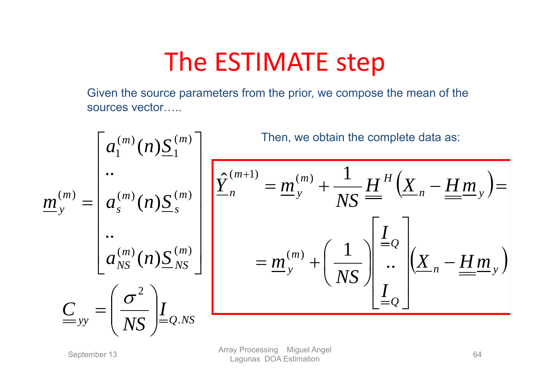### The ESTIMATE step

Given the source parameters from the prior, we compose the mean of the sources vector…..

$$
\underline{m}_{y}^{(m)} = \begin{bmatrix} a_{1}^{(m)}(n)\underline{S}_{1}^{(m)} \\ \vdots \\ a_{s}^{(m)}(n)\underline{S}_{s}^{(m)} \\ \vdots \\ a_{NS}^{(m)}(n)\underline{S}_{NS}^{(m)} \end{bmatrix} \begin{bmatrix} \sum_{n=1}^{N} m_{1}^{(m)} + \sum_{n=1}^{N} m_{1}^{(m)} + \sum_{n=1}^{N} m_{1}^{(m)} \\ \vdots \\ \sum_{n=1}^{N} m_{1}^{(m)} + \sum_{n=1}^{N} m_{1}^{(m)} \end{bmatrix} \begin{bmatrix} I_{1} \\ \vdots \\ I_{N} \end{bmatrix} \begin{bmatrix} I_{2} \\ \vdots \\ I_{N} \end{bmatrix} \begin{bmatrix} I_{3} \\ \vdots \\ I_{N} \end{bmatrix} \begin{bmatrix} I_{4} \\ \vdots \\ I_{N} \end{bmatrix} \begin{bmatrix} I_{5} \\ \vdots \\ I_{N} \end{bmatrix} \begin{bmatrix} I_{6} \\ \vdots \\ I_{N} \end{bmatrix} \begin{bmatrix} I_{7} \\ \vdots \\ I_{N} \end{bmatrix} \begin{bmatrix} I_{8} \\ \vdots \\ I_{N} \end{bmatrix} \begin{bmatrix} I_{9} \\ \vdots \\ I_{N} \end{bmatrix} \begin{bmatrix} I_{1} \\ \vdots \\ I_{N} \end{bmatrix} \begin{bmatrix} I_{1} \\ \vdots \\ I_{N} \end{bmatrix} \begin{bmatrix} I_{1} \\ \vdots \\ I_{N} \end{bmatrix} \begin{bmatrix} I_{1} \\ \vdots \\ I_{N} \end{bmatrix} \begin{bmatrix} I_{1} \\ \vdots \\ I_{N} \end{bmatrix} \begin{bmatrix} I_{1} \\ \vdots \\ I_{N} \end{bmatrix} \begin{bmatrix} I_{1} \\ \vdots \\ I_{N} \end{bmatrix} \begin{bmatrix} I_{1} \\ \vdots \\ I_{N} \end{bmatrix} \begin{bmatrix} I_{1} \\ \vdots \\ I_{N} \end{bmatrix} \begin{bmatrix} I_{2} \\ \vdots \\ I_{N} \end{bmatrix} \begin{bmatrix} I_{3} \\ \vdots \\ I_{N} \end{bmatrix} \begin{bmatrix} I_{4} \\ \vdots \\ I_{N} \end{bmatrix} \begin{bmatrix} I_{5} \\ \vdots \\ I_{N} \end{bmatrix} \begin{
$$

September 13 **Array Processing Miguel Angel** September 13 **Array Processing Miguel Angel** 64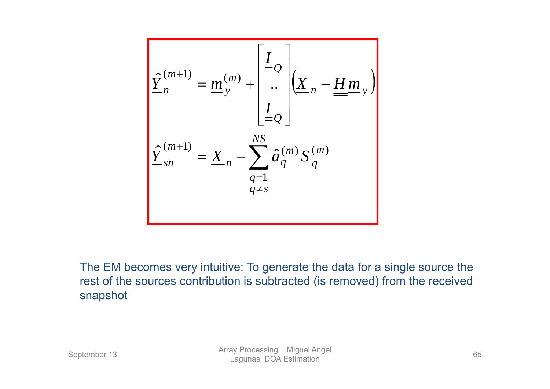$$
\hat{\underline{Y}}_{n}^{(m+1)} = \underline{m}_{y}^{(m)} + \begin{bmatrix} \underline{I}_{Q} \\ \vdots \\ \underline{I}_{Q} \end{bmatrix} \underline{\underline{X}}_{n} - \underline{H}_{m} \underline{w}_{y}
$$
\n
$$
\hat{\underline{Y}}_{sn}^{(m+1)} = \underline{X}_{n} - \sum_{\substack{q=1 \\ q \neq s}}^{NS} \hat{a}_{q}^{(m)} \underline{S}_{q}^{(m)}
$$

The EM becomes very intuitive: To generate the data for a single source the rest of the sources contribution is subtracted (is removed) from the received snapshot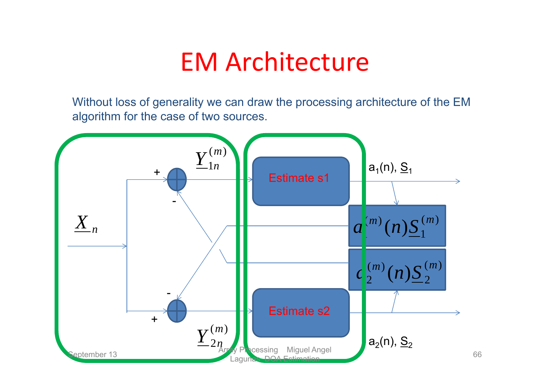#### EM Architecture

Without loss of generality we can draw the processing architecture of the EM algorithm for the case of two sources.

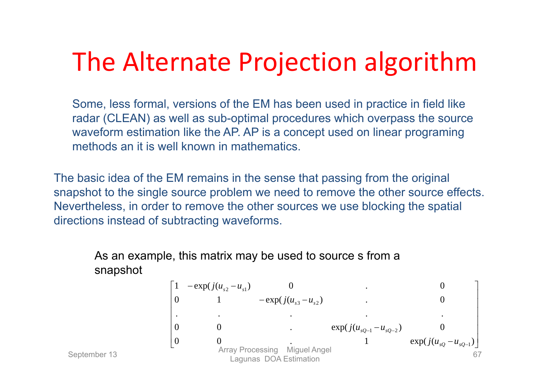### The Alternate Projection algorithm

Some, less formal, versions of the EM has been used in practice in field like radar (CLEAN) as well as sub-optimal procedures which overpass the source waveform estimation like the AP. AP is a concept used on linear programing methods an it is well known in mathematics.

The basic idea of the EM remains in the sense that passing from the original snapshot to the single source problem we need to remove the other source effects. Nevertheless, in order to remove the other sources we use blocking the spatial directions instead of subtracting waveforms.

As an example, this matrix may be used to source s from a snapshot

| \n $\begin{bmatrix}\n 1 & -\exp(j(u_{s2} - u_{s1}) & 0 & \cdots & 0 \\  0 & 1 & -\exp(j(u_{s3} - u_{s2}) & \cdots & 0 \\  \vdots & \vdots & \ddots & \vdots & \ddots & \vdots \\  0 & 0 & \cdots & \exp(j(u_{sQ-1} - u_{sQ-2}) & 0 \\  0 & 0 & \cdots & 1 & \exp(j(u_{sQ} - u_{sQ-1})\n \end{bmatrix}$ \n |
|-----------------------------------------------------------------------------------------------------------------------------------------------------------------------------------------------------------------------------------------------------------------------------------------------------------|
|-----------------------------------------------------------------------------------------------------------------------------------------------------------------------------------------------------------------------------------------------------------------------------------------------------------|

\nSeptember 13

\nSeptember 13

\nLengther 13

\nLengther 14

\nLengther 15

\nLengther 167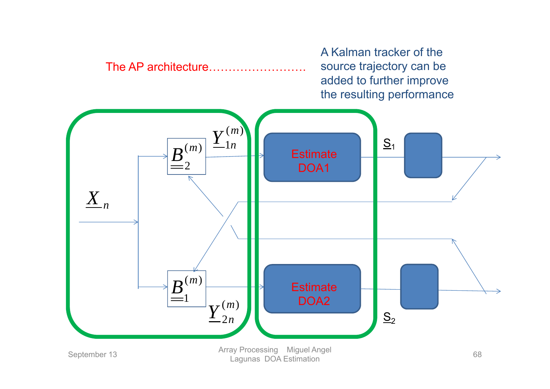The AP architecture.

A Kalman tracker of the source trajectory can be added to further improve the resulting performance

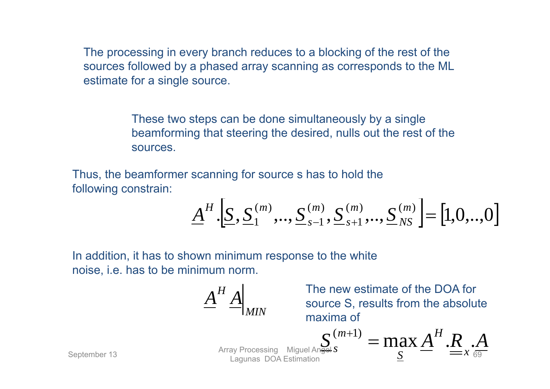The processing in every branch reduces to a blocking of the rest of the sources followed by a phased array scanning as corresponds to the ML estimate for a single source.

> These two steps can be done simultaneously by a single beamforming that steering the desired, nulls out the rest of the sources.

Thus, the beamformer scanning for source s has to hold the following constrain:

$$
\underline{A}^{H} \cdot \left[ \underline{S}, \underline{S}_{1}^{(m)}, \ldots, \underline{S}_{s-1}^{(m)}, \underline{S}_{s+1}^{(m)}, \ldots, \underline{S}_{NS}^{(m)} \right] = [1, 0, \ldots, 0]
$$

*m*

 $\hspace{0.1mm} +$ 

In addition, it has to shown minimum response to the white noise, i.e. has to be minimum norm.

$$
\left. A^H\,A\right|_{MIN}
$$

 The new estimate of the DOA for source S, results from the absolute maxima of

*S*

Ξ

*H*

 $S_{\text{ge-}S}^{(m+1)} = \max_{S} A^H \cdot \mathbf{R}_{\text{meas}} A$  $s^{(m+1)}$  = max  $\underline{A}^H \cdot R$ . September 13 **Array Processing Miguel Angel S Container Miguel Angel S Container S Container S Container S Container S Container S Container S Container S Container S Container S Container S Contai**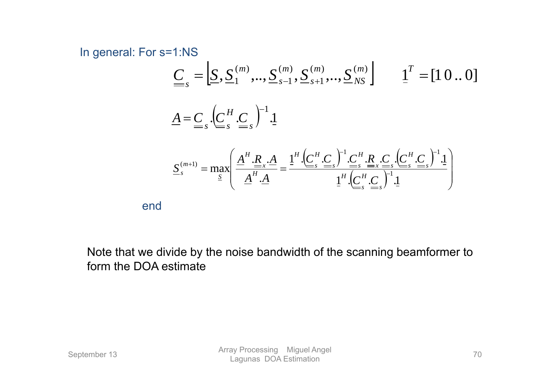In general: For s=1:NS

$$
\underline{C}_{=s} = \left[ \underline{S}, \underline{S}_{1}^{(m)}, ..., \underline{S}_{s-1}^{(m)}, \underline{S}_{s+1}^{(m)}, ..., \underline{S}_{NS}^{(m)} \right] \qquad \underline{1}^{T} = [1 0..0]
$$
\n
$$
\underline{A} = \underline{C}_{s} \cdot \left( \underline{C}_{s}^{H} \cdot \underline{C}_{s} \right)^{-1} \underline{1}
$$
\n
$$
\underline{S}_{s}^{(m+1)} = \max_{\underline{S}} \left( \frac{\underline{A}^{H} \cdot \underline{R}_{s} \cdot \underline{A}}{\underline{A}^{H} \cdot \underline{A}} = \frac{\underline{1}^{H} \cdot \left( \underline{C}_{s}^{H} \cdot \underline{C}_{s} \right)^{-1} \cdot \underline{C}_{s}^{H} \cdot \underline{R}_{s} \cdot \underline{C}_{s} \cdot \left( \underline{C}_{s}^{H} \cdot \underline{C}_{s} \right)^{-1} \underline{1}}{\underline{1}^{H} \cdot \left( \underline{C}_{s}^{H} \cdot \underline{C}_{s} \right)^{-1} \underline{1}}
$$
\n
$$
\text{end}
$$

Note that we divide by the noise bandwidth of the scanning beamformer to form the DOA estimate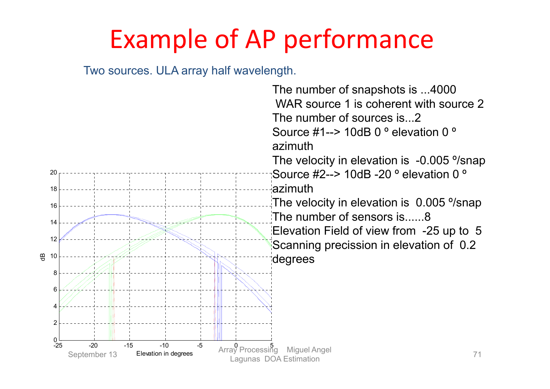### Example of AP performance

Two sources. ULA array half wavelength.

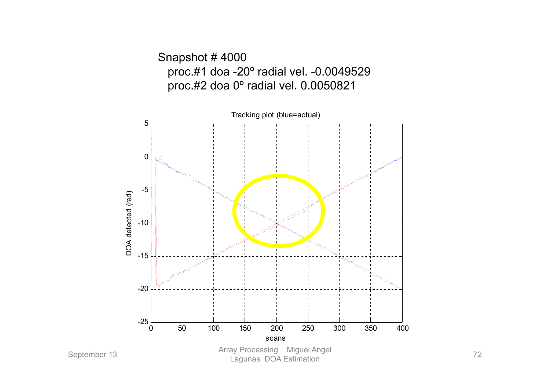

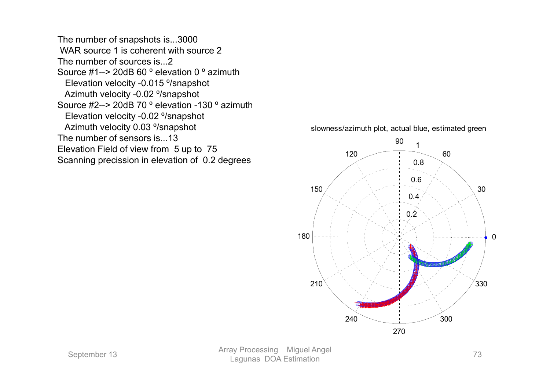The number of snapshots is...3000 WAR source 1 is coherent with source 2 The number of sources is...2Source #1--> 20dB 60 º elevation 0 º azimuthElevation velocity -0.015 º/snapshot Azimuth velocity -0.02 º/snapshot Source #2--> 20dB 70 º elevation -130 º azimuthElevation velocity -0.02 º/snapshot Azimuth velocity 0.03 º/snapshot The number of sensors is...13Elevation Field of view from 5 up to 75 Scanning precission in elevation of 0.2 degrees

slowness/azimuth plot, actual blue, estimated green



September 13 **Array Processing Miguel Angel** September 13 **Array Processing Miguel Angel** 23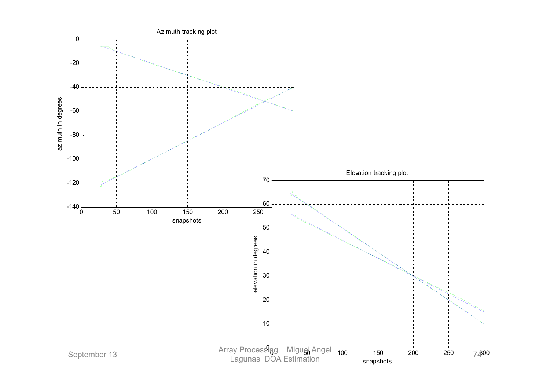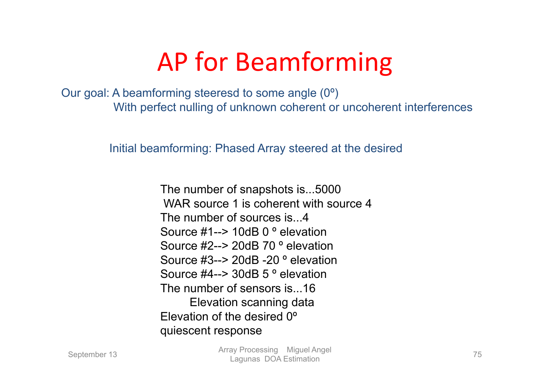## AP for Beamforming

Our goal: A beamforming steeresd to some angle (0º) With perfect nulling of unknown coherent or uncoherent interferences

Initial beamforming: Phased Array steered at the desired

The number of snapshots is...5000 WAR source 1 is coherent with source 4 The number of sources is...4 Source #1--> 10dB 0 º elevation Source #2--> 20dB 70 º elevation Source #3--> 20dB -20 º elevation Source #4--> 30dB 5 º elevation The number of sensors is...16 Elevation scanning data Elevation of the desired 0ºquiescent response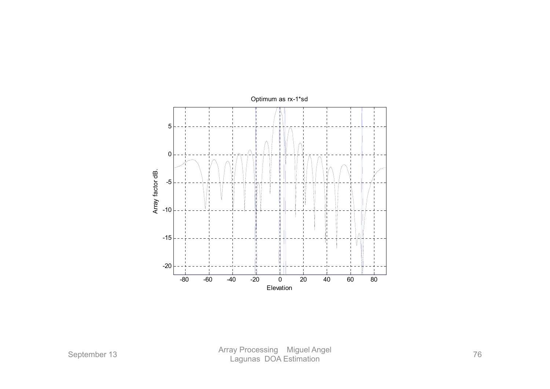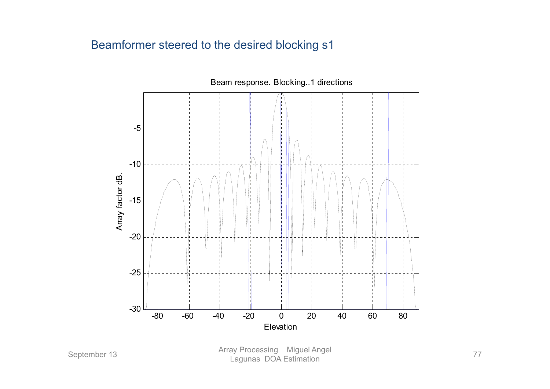#### Beamformer steered to the desired blocking s1



September 13 **Array Processing Miguel Angel Angel September 13** Array Processing Miguel Angel **Angel** 27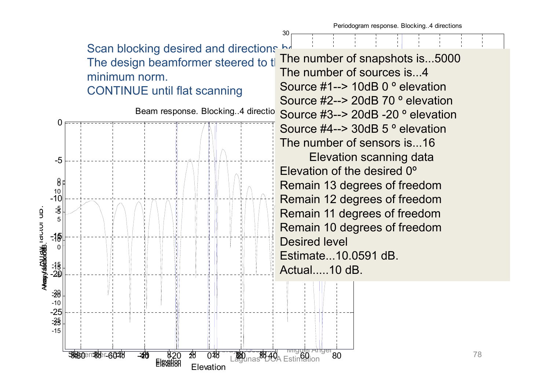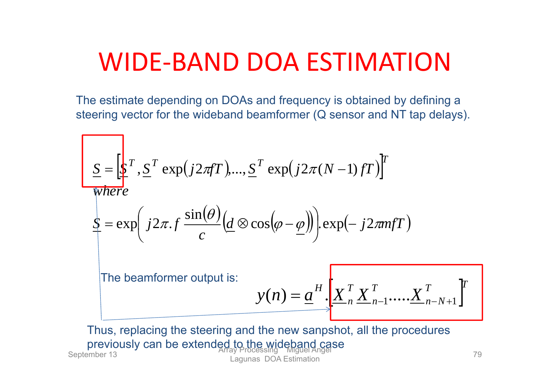### WIDE‐BAND DOA ESTIMATION

The estimate depending on DOAs and frequency is obtained by defining a steering vector for the wideband beamformer (Q sensor and NT tap delays).

$$
\underline{S} = \left[\underline{S}^T, \underline{S}^T \exp(j2\pi f), ..., \underline{S}^T \exp(j2\pi (N-1) f)\right]^T
$$
\nwhere  
\n
$$
\underline{S} = \exp\left(j2\pi.f \frac{\sin(\theta)}{c} (\underline{d} \otimes \cos(\varphi - \underline{\varphi}))\right) \exp(-j2\pi mf)
$$
\nThe beamformer output is:  
\n
$$
y(n) = \underline{a}^H \cdot \underline{X}_n^T \underline{X}_{n-1}^T .... \underline{X}_{n-N+1}^T
$$
\nThus, replacing the steering and the new snapshot, all the procedures previously can be extended to the singularity.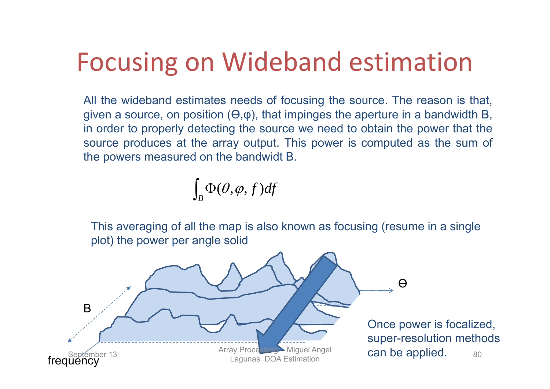#### Focusing on Wideband estimation

All the wideband estimates needs of focusing the source. The reason is that, given a source, on position  $(\Theta, \phi)$ , that impinges the aperture in a bandwidth B, in order to properly detecting the source we need to obtain the power that the source produces at the array output. This power is computed as the sum of the powers measured on the bandwidt B.

$$
\int_B \Phi(\theta,\varphi,f) df
$$

This averaging of all the map is also known as focusing (resume in a single plot) the power per angle solid

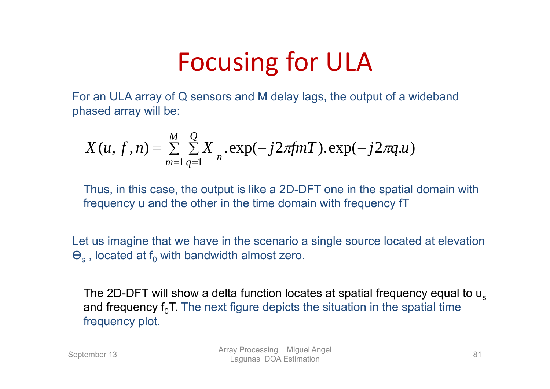# Focusing for ULA

For an ULA array of Q sensors and M delay lags, the output of a wideband phased array will be:

$$
X(u, f, n) = \sum_{m=1}^{M} \sum_{q=1}^{Q} X_{m} \cdot \exp(-j2\pi f mT) \cdot \exp(-j2\pi q.u)
$$

Thus, in this case, the output is like a 2D-DFT one in the spatial domain with frequency u and the other in the time domain with frequency fT

Let us imagine that we have in the scenario a single source located at elevation  $\Theta_{\rm s}$  , located at  $\rm f_{0}$  with bandwidth almost zero.

The 2D-DFT will show a delta function locates at spatial frequency equal to  $u_s$ and frequency  $f_0T$ . The next figure depicts the situation in the spatial time frequency plot.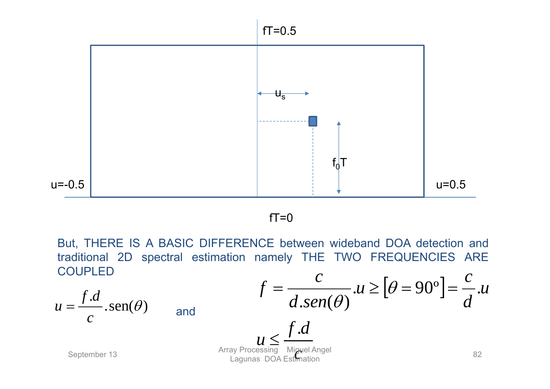

fT=0

But, THERE IS A BASIC DIFFERENCE between wideband DOA detection and traditional 2D spectral estimation namely THE TWO FREQUENCIES ARE COUPLED

$$
f = \frac{c}{d} \cdot \text{sen}(\theta)
$$
  

$$
f = \frac{c}{d} \cdot \text{sen}(\theta)
$$
  

$$
f = \frac{c}{d} \cdot \text{sen}(\theta)
$$
  

$$
u \geq [\theta = 90^{\circ}] = \frac{c}{d} \cdot u
$$

 $u \leq \frac{f.d}{f}$ .  $\leq$ 

*c*

 $\stackrel{.\!.\!.\!.\!}{=}$ .sen $(\theta)$ 

دى<br>Im September 13 **Array Processing Miguel Angel** Angel September 13 and the Lagunas DOA Estimation 82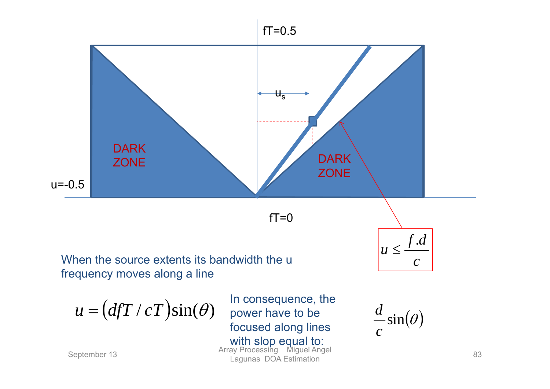

power have to be focused along lines with slop equal to: September 13 Array Processing Miguel Angel<br>Lagunas DOA Estimation

 $\sin(\theta)$ *cd*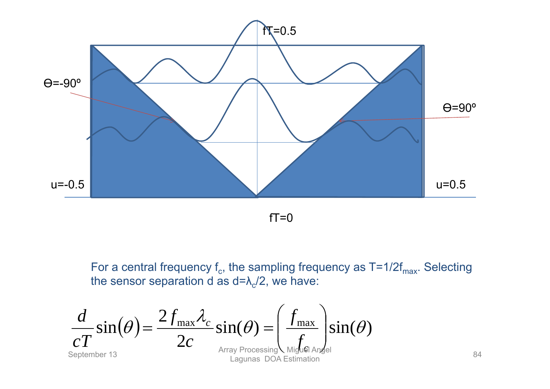

fT=0

For a central frequency  $f_c$ , the sampling frequency as  $T=1/2f_{max}$ . Selecting the sensor separation d as  $d = \lambda_c/2$ , we have:

$$
\frac{d}{cT}\sin(\theta) = \frac{2f_{\text{max}}\lambda_c}{2c}\sin(\theta) = \underbrace{\left(\frac{f_{\text{max}}}{f_{\text{Array Processing}}}\right)}_{\text{Arg} \text{Miguel Angel}}\sin(\theta)
$$
\n
$$
\text{September 13} \qquad \text{Sapismation} \qquad \text{Sapismation}
$$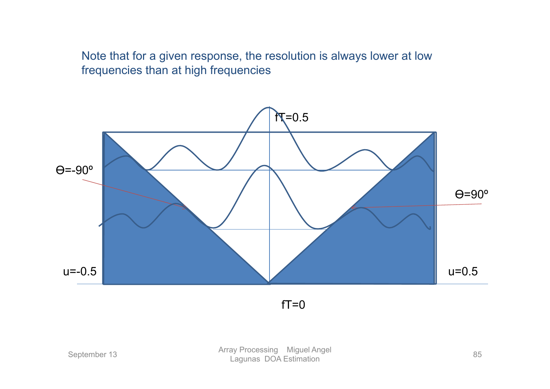Note that for a given response, the resolution is always lower at low frequencies than at high frequencies



September 13 **Array Processing Miguel Angel Angel September 13** Array Processing Miguel Angel **Angel 2018** 85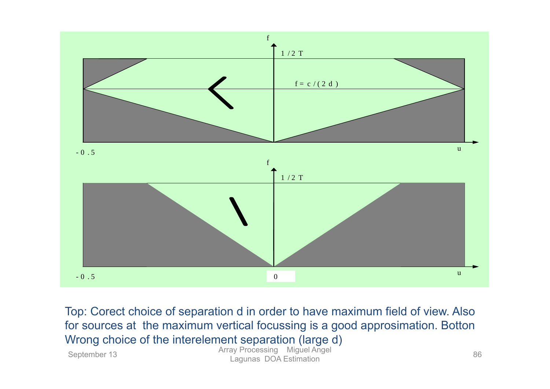

Top: Corect choice of separation d in order to have maximum field of view. Also for sources at the maximum vertical focussing is a good approsimation. Botton Wrong choice of the interelement separation (large d)

September 13 **Array Processing Miguel Angel** September 13 and the Lagunas DOA Estimation 86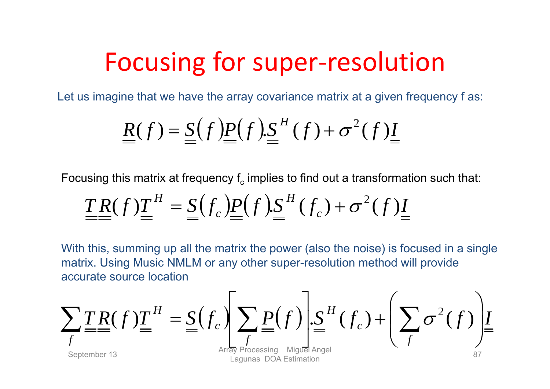### Focusing for super‐resolution

Let us imagine that we have the array covariance matrix at a given frequency f as:

$$
\underline{R}(f) = \underline{S}(f)\underline{P}(f)\underline{S}^{H}(f) + \sigma^{2}(f)\underline{I}
$$

Focusing this matrix at frequency  $\mathsf{f}_\mathrm{c}$  implies to find out a transformation such that:

$$
\underline{\underline{T}R}(f)\underline{\underline{T}}^H = \underline{\underline{S}}(f_c)\underline{\underline{P}}(f)\underline{\underline{S}}^H(f_c) + \sigma^2(f)\underline{\underline{I}}
$$

With this, summing up all the matrix the power (also the noise) is focused in a single matrix. Using Music NMLM or any other super-resolution method will provide accurate source location

$$
\sum_{f} \underbrace{\underline{T} \underline{R}}_{\text{September 13}} (f) \underline{\underline{T}}^{H} = \underline{\underline{S}} (f_c) \underbrace{\sum_{f} \underline{P}(f)}_{\text{Array Processing Miguel Angel}} \underbrace{\underline{S}}_{\text{Angle} \text{Angle}} (f_c) + \underbrace{\left(\sum_{f} \sigma^2(f)\right)}_{\text{87}}
$$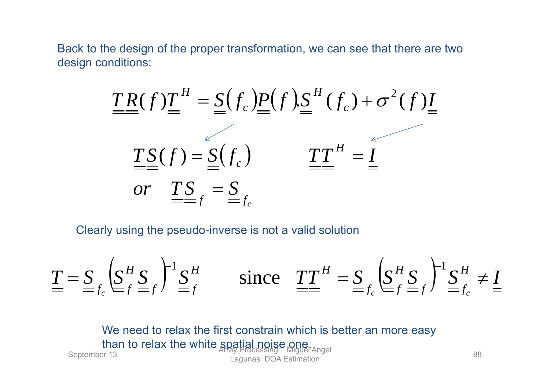Back to the design of the proper transformation, we can see that there are two design conditions:

$$
\underline{T}\underline{R}(f)\underline{T}^{H} = \underline{S}(f_{c})\underline{P}(f)\underline{S}^{H}(f_{c}) + \sigma^{2}(f)\underline{I}
$$
\n
$$
\underline{T}\underline{S}(f) = \underline{S}(f_{c}) \qquad \underline{T}\underline{T}^{H} = \underline{I}
$$
\nor\n
$$
\underline{T}\underline{S}_{f} = \underline{S}_{f_{c}}
$$

Clearly using the pseudo-inverse is not a valid solution

$$
\underline{T} = \underline{S}_{f_c} \left( \underline{S}_f^H \underline{S}_{f} \right)^{-1} \underline{S}_f^H \qquad \text{since} \quad \underline{T}\underline{T}^H = \underline{S}_{f_c} \left( \underline{S}_f^H \underline{S}_{f} \right)^{-1} \underline{S}_{f_c}^H \neq \underline{I}
$$

We need to relax the first constrain which is better an more easy than to relax the white spatial noise one. Array Processing Miguel Angel<br>September 13 **Array Processing Miguel Angel** Estimation Estimation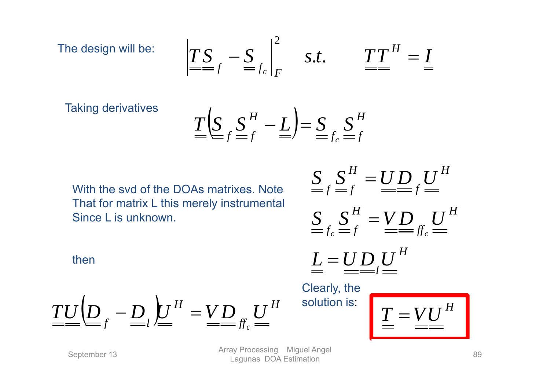The design will be:

$$
\left|\underline{\underline{T}}\underline{\underline{S}}_{f} - \underline{\underline{S}}_{f_c}\right|_F^2 \quad s.t. \quad \underline{\underline{T}}\underline{\underline{T}}^H = \underline{\underline{I}}
$$

Taking derivatives

$$
\underline{\underline{T}}\left(\underline{\underline{S}}_f \underline{\underline{S}}_f^H - \underline{\underline{L}}\right) = \underline{\underline{S}}_{f_c} \underline{\underline{S}}_f^H
$$

With the svd of the DOAs matrixes. Note That for matrix L this merely instrumental Since L is unknown.

$$
\begin{aligned}\n\underline{\mathbf{S}}_{f} \underline{\mathbf{S}}_{f}^{H} &= \underline{\mathbf{U}} \underline{\mathbf{D}}_{f} \underline{\mathbf{U}}^{H} \\
\underline{\mathbf{S}}_{f_{c}} \underline{\mathbf{S}}_{f}^{H} &= \underline{\mathbf{V}} \underline{\mathbf{D}}_{f_{c}} \underline{\mathbf{U}}^{H} \\
\underline{\mathbf{L}} &= \underline{\mathbf{U}} \underline{\mathbf{D}}_{f} \underline{\mathbf{U}}^{H} \\
\underline{\mathbf{L}} &= \underline{\mathbf{U}} \underline{\mathbf{D}}_{f} \underline{\mathbf{U}}^{H}\n\end{aligned}
$$

then

$$
\underline{TU} \underline{D}_f - \underline{D}_l \underline{U}^H = \underline{V} \underline{D}_{ff_c} \underline{U}^H
$$

Clearly, the solution is:

$$
T = \underline{VU}^H
$$

September 13 **Array Processing Miguel Angel Angel September 13** and Miguel Angel Angel **September 13** and Miguel Angel By the Lagunas DOA Estimation 89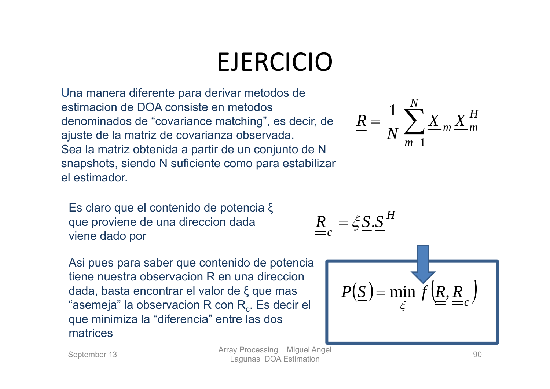# EJERCICIO

Una manera diferente para derivar metodos de estimacion de DOA consiste en metodosdenominados de "covariance matching", es decir, de ajuste de la matriz de covarianza observada. Sea la matriz obtenida a partir de un conjunto de N snapshots, siendo N suficiente como para estabilizar el estimador.

Es claro que el contenido de potencia ξ que proviene de una direccion dada viene dado por

Asi pues para saber que contenido de potencia tiene nuestra observacion R en una direcciondada, basta encontrar el valor de ξ que mas "asemeja" la observacion R con  $R_c$ . Es decir el que minimiza la "diferencia" entre las dos matrices



$$
\underline{R}_{c} = \xi \underline{S} \cdot \underline{S}^{H}
$$

$$
P(\underline{S}) = \min_{\xi} f(\underline{R}, \underline{R}_c)
$$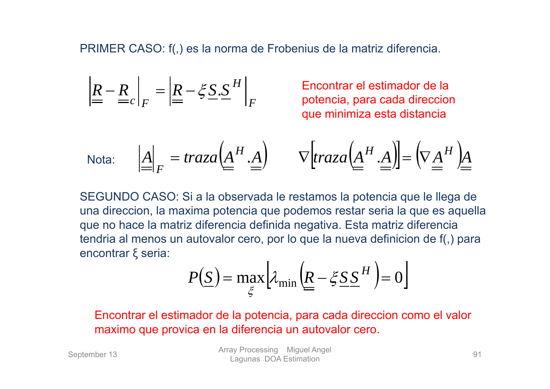PRIMER CASO: f(,) es la norma de Frobenius de la matriz diferencia.

$$
\left| \underline{R} - \underline{R}_c \right|_F = \left| \underline{R} - \xi \underline{S} . \underline{S}^H \right|_F
$$

 *<sup>R</sup> <sup>R</sup> <sup>S</sup>*.*<sup>S</sup>* Encontrar el estimador de la potencia, para cada direccion que minimiza esta distancia

$$
\text{Nota:} \quad \left| \underline{A} \right|_F = \text{traza} \left( \underline{A}^H \cdot \underline{A} \right) \quad \nabla \left[ \text{traza} \left( \underline{A}^H \cdot \underline{A} \right) \right] = \left( \nabla \underline{A}^H \right) \underline{A}
$$

SEGUNDO CASO: Si a la observada le restamos la potencia que le llega de una direccion, la maxima potencia que podemos restar seria la que es aquella que no hace la matriz diferencia definida negativa. Esta matriz diferencia tendria al menos un autovalor cero, por lo que la nueva definicion de f(,) para encontrar ξ seria:

$$
P(\underline{S}) = \max_{\xi} \left[ \lambda_{\min} \left( \underline{R} - \xi \underline{S} \underline{S}^H \right) = 0 \right]
$$

Encontrar el estimador de la potencia, para cada direccion como el valor maximo que provica en la diferencia un autovalor cero.

September 13 **Array Processing Miguel Angel** September 13 **Array Processing Miguel Angel** 91